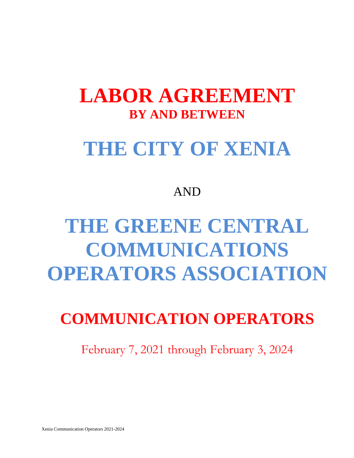## **LABOR AGREEMENT BY AND BETWEEN**

## **THE CITY OF XENIA**

### AND

# **THE GREENE CENTRAL COMMUNICATIONS OPERATORS ASSOCIATION**

### **COMMUNICATION OPERATORS**

February 7, 2021 through February 3, 2024

Xenia Communication Operators 2021-2024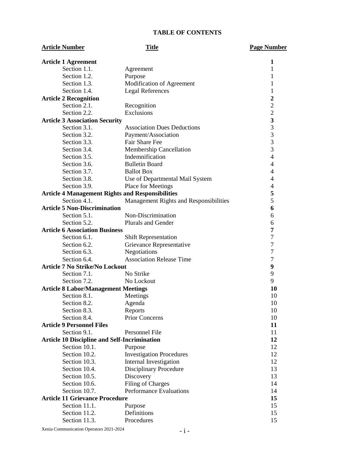#### **TABLE OF CONTENTS**

| <b>Article Number</b>                               | <b>Title</b>                                            | <b>Page Number</b>      |
|-----------------------------------------------------|---------------------------------------------------------|-------------------------|
| <b>Article 1 Agreement</b>                          |                                                         | 1                       |
| Section 1.1.                                        | Agreement                                               | 1                       |
| Section 1.2.                                        | Purpose                                                 | 1                       |
| Section 1.3.                                        | Modification of Agreement                               | 1                       |
| Section 1.4.                                        | <b>Legal References</b>                                 | 1                       |
| <b>Article 2 Recognition</b>                        |                                                         | $\overline{2}$          |
| Section 2.1.                                        | Recognition                                             | $\overline{c}$          |
| Section 2.2.                                        | Exclusions                                              | $\overline{c}$          |
| <b>Article 3 Association Security</b>               |                                                         | $\overline{\mathbf{3}}$ |
| Section 3.1.                                        | <b>Association Dues Deductions</b>                      | 3                       |
| Section 3.2.                                        | Payment/Association                                     | 3                       |
| Section 3.3.                                        | Fair Share Fee                                          | 3                       |
| Section 3.4.                                        | <b>Membership Cancellation</b>                          | 3                       |
| Section 3.5.                                        | Indemnification                                         | $\overline{4}$          |
| Section 3.6.                                        | <b>Bulletin Board</b>                                   | 4                       |
| Section 3.7.                                        | <b>Ballot Box</b>                                       | 4                       |
| Section 3.8.                                        | Use of Departmental Mail System                         | 4                       |
| Section 3.9.                                        | Place for Meetings                                      | 4                       |
|                                                     | <b>Article 4 Management Rights and Responsibilities</b> | 5                       |
| Section 4.1.                                        | Management Rights and Responsibilities                  | 5                       |
| <b>Article 5 Non-Discrimination</b>                 |                                                         | 6                       |
| Section 5.1.                                        | Non-Discrimination                                      | 6                       |
| Section 5.2.                                        | <b>Plurals and Gender</b>                               | 6                       |
| <b>Article 6 Association Business</b>               |                                                         | 7                       |
| Section 6.1.                                        | <b>Shift Representation</b>                             | $\boldsymbol{7}$        |
| Section 6.2.                                        | Grievance Representative                                | $\boldsymbol{7}$        |
| Section 6.3.                                        | Negotiations                                            | $\boldsymbol{7}$        |
| Section 6.4.                                        | <b>Association Release Time</b>                         | $\boldsymbol{7}$        |
| <b>Article 7 No Strike/No Lockout</b>               |                                                         | 9                       |
| Section 7.1.                                        | No Strike                                               | 9                       |
| Section 7.2.                                        | No Lockout                                              | 9                       |
| <b>Article 8 Labor/Management Meetings</b>          |                                                         | 10                      |
| Section 8.1.                                        | Meetings                                                | 10                      |
| Section 8.2.                                        | Agenda                                                  | 10                      |
| Section 8.3.                                        | Reports                                                 | 10                      |
| Section 8.4.                                        | <b>Prior Concerns</b>                                   | 10                      |
| <b>Article 9 Personnel Files</b>                    |                                                         | 11                      |
| Section 9.1.                                        | Personnel File                                          | 11                      |
| <b>Article 10 Discipline and Self-Incrimination</b> |                                                         | 12                      |
| Section 10.1.                                       | Purpose                                                 | 12                      |
| Section 10.2.                                       | <b>Investigation Procedures</b>                         | 12                      |
| Section 10.3.                                       | Internal Investigation                                  | 12                      |
| Section 10.4.                                       | <b>Disciplinary Procedure</b>                           | 13                      |
| Section 10.5.                                       | Discovery                                               | 13                      |
| Section 10.6.                                       | <b>Filing of Charges</b>                                | 14                      |
| Section 10.7.                                       | <b>Performance Evaluations</b>                          | 14                      |
| <b>Article 11 Grievance Procedure</b>               |                                                         | 15                      |
| Section 11.1.                                       | Purpose                                                 | 15                      |
| Section 11.2.                                       | Definitions                                             | 15                      |
| Section 11.3.                                       | Procedures                                              | 15                      |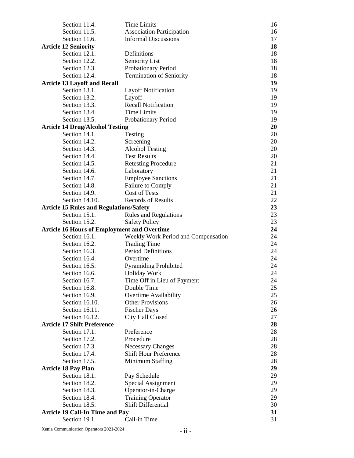| Section 11.4.                                           | <b>Time Limits</b>                                 | 16       |
|---------------------------------------------------------|----------------------------------------------------|----------|
| Section 11.5.                                           | <b>Association Participation</b>                   | 16       |
| Section 11.6.                                           | <b>Informal Discussions</b>                        | 17       |
| <b>Article 12 Seniority</b>                             |                                                    | 18       |
| Section 12.1.                                           | Definitions                                        | 18       |
| Section 12.2.                                           | Seniority List                                     | 18       |
| Section 12.3.                                           | Probationary Period                                | 18       |
| Section 12.4.                                           | <b>Termination of Seniority</b>                    | 18       |
| <b>Article 13 Layoff and Recall</b>                     |                                                    | 19       |
| Section 13.1.                                           | <b>Layoff Notification</b>                         | 19       |
| Section 13.2.                                           | Layoff                                             | 19       |
| Section 13.3.                                           | <b>Recall Notification</b>                         | 19       |
| Section 13.4.                                           | <b>Time Limits</b>                                 | 19       |
| Section 13.5.                                           | Probationary Period                                | 19       |
| <b>Article 14 Drug/Alcohol Testing</b>                  |                                                    | 20       |
| Section 14.1.                                           | Testing                                            | 20       |
| Section 14.2.                                           | Screening                                          | 20       |
| Section 14.3.                                           | <b>Alcohol Testing</b>                             | 20       |
| Section 14.4.                                           | <b>Test Results</b>                                | 20       |
| Section 14.5.                                           | <b>Retesting Procedure</b>                         | 21       |
| Section 14.6.                                           | Laboratory                                         | 21       |
| Section 14.7.                                           | <b>Employee Sanctions</b>                          | 21       |
| Section 14.8.                                           | Failure to Comply                                  | 21       |
| Section 14.9.                                           | <b>Cost of Tests</b>                               | 21       |
| Section 14.10.                                          | <b>Records of Results</b>                          | 22       |
| <b>Article 15 Rules and Regulations/Safety</b>          |                                                    | 23       |
| Section 15.1.                                           | <b>Rules and Regulations</b>                       | 23       |
| Section 15.2.                                           | <b>Safety Policy</b>                               | 23       |
|                                                         | <b>Article 16 Hours of Employment and Overtime</b> | 24       |
|                                                         |                                                    |          |
|                                                         |                                                    |          |
| Section 16.1.                                           | Weekly Work Period and Compensation                | 24       |
| Section 16.2.                                           | <b>Trading Time</b>                                | 24       |
| Section 16.3.                                           | Period Definitions                                 | 24       |
| Section 16.4.                                           | Overtime                                           | 24       |
| Section 16.5.                                           | <b>Pyramiding Prohibited</b>                       | 24       |
| Section 16.6.                                           | <b>Holiday Work</b>                                | 24       |
| Section 16.7.                                           | Time Off in Lieu of Payment                        | 24       |
| Section 16.8.                                           | Double Time                                        | 25       |
| Section 16.9.                                           | Overtime Availability                              | 25       |
| Section 16.10.                                          | <b>Other Provisions</b>                            | 26       |
| Section 16.11.                                          | <b>Fischer Days</b>                                | 26       |
| Section 16.12.                                          | City Hall Closed                                   | 27       |
| <b>Article 17 Shift Preference</b>                      |                                                    | 28       |
| Section 17.1.                                           | Preference                                         | 28       |
| Section 17.2.                                           | Procedure                                          | 28       |
| Section 17.3.                                           | <b>Necessary Changes</b>                           | 28       |
| Section 17.4.                                           | <b>Shift Hour Preference</b>                       | 28       |
| Section 17.5.                                           | Minimum Staffing                                   | 28       |
| <b>Article 18 Pay Plan</b>                              |                                                    | 29       |
| Section 18.1.                                           | Pay Schedule                                       | 29       |
| Section 18.2.                                           | Special Assignment                                 | 29       |
| Section 18.3.                                           | Operator-in-Charge                                 | 29       |
| Section 18.4.                                           | <b>Training Operator</b>                           | 29       |
| Section 18.5.                                           | <b>Shift Differential</b>                          | 30       |
| <b>Article 19 Call-In Time and Pay</b><br>Section 19.1. | Call-in Time                                       | 31<br>31 |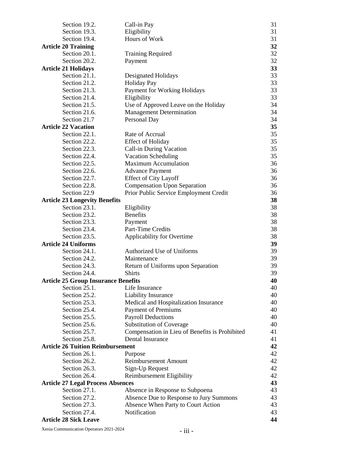| Section 19.2.                              | Call-in Pay                                    | 31 |
|--------------------------------------------|------------------------------------------------|----|
| Section 19.3.                              | Eligibility                                    | 31 |
| Section 19.4.                              | Hours of Work                                  | 31 |
| <b>Article 20 Training</b>                 |                                                | 32 |
| Section 20.1.                              | <b>Training Required</b>                       | 32 |
| Section 20.2.                              | Payment                                        | 32 |
| <b>Article 21 Holidays</b>                 |                                                | 33 |
| Section 21.1.                              | Designated Holidays                            | 33 |
| Section 21.2.                              | <b>Holiday Pay</b>                             | 33 |
| Section 21.3.                              | Payment for Working Holidays                   | 33 |
| Section 21.4.                              | Eligibility                                    | 33 |
| Section 21.5.                              | Use of Approved Leave on the Holiday           | 34 |
| Section 21.6.                              | <b>Management Determination</b>                | 34 |
| Section 21.7                               | Personal Day                                   | 34 |
| <b>Article 22 Vacation</b>                 |                                                | 35 |
| Section 22.1.                              | Rate of Accrual                                | 35 |
| Section 22.2.                              | <b>Effect of Holiday</b>                       | 35 |
| Section 22.3.                              | Call-in During Vacation                        | 35 |
| Section 22.4.                              | <b>Vacation Scheduling</b>                     | 35 |
| Section 22.5.                              | <b>Maximum Accumulation</b>                    | 36 |
| Section 22.6.                              | <b>Advance Payment</b>                         | 36 |
| Section 22.7.                              | <b>Effect of City Layoff</b>                   | 36 |
| Section 22.8.                              | <b>Compensation Upon Separation</b>            | 36 |
| Section 22.9                               | Prior Public Service Employment Credit         | 36 |
| <b>Article 23 Longevity Benefits</b>       |                                                | 38 |
| Section 23.1.                              | Eligibility                                    | 38 |
| Section 23.2.                              | <b>Benefits</b>                                | 38 |
| Section 23.3.                              | Payment                                        | 38 |
| Section 23.4.                              | Part-Time Credits                              | 38 |
| Section 23.5.                              | Applicability for Overtime                     | 38 |
| <b>Article 24 Uniforms</b>                 |                                                | 39 |
| Section 24.1.                              | Authorized Use of Uniforms                     | 39 |
| Section 24.2.                              | Maintenance                                    | 39 |
| Section 24.3.                              | Return of Uniforms upon Separation             | 39 |
| Section 24.4.                              | <b>Shirts</b>                                  | 39 |
| <b>Article 25 Group Insurance Benefits</b> |                                                | 40 |
| Section 25.1.                              | Life Insurance                                 | 40 |
| Section 25.2.                              | Liability Insurance                            | 40 |
| Section 25.3.                              | Medical and Hospitalization Insurance          | 40 |
| Section 25.4.                              | <b>Payment of Premiums</b>                     | 40 |
| Section 25.5.                              | <b>Payroll Deductions</b>                      | 40 |
| Section 25.6.                              | <b>Substitution of Coverage</b>                | 40 |
| Section 25.7.                              | Compensation in Lieu of Benefits is Prohibited | 41 |
| Section 25.8.                              | Dental Insurance                               | 41 |
| <b>Article 26 Tuition Reimbursement</b>    |                                                | 42 |
| Section 26.1.                              | Purpose                                        | 42 |
| Section 26.2.                              | <b>Reimbursement Amount</b>                    | 42 |
| Section 26.3.                              | Sign-Up Request                                | 42 |
| Section 26.4.                              | Reimbursement Eligibility                      | 42 |
| <b>Article 27 Legal Process Absences</b>   |                                                | 43 |
| Section 27.1.                              | Absence in Response to Subpoena                | 43 |
| Section 27.2.                              | Absence Due to Response to Jury Summons        | 43 |
| Section 27.3.                              | Absence When Party to Court Action             | 43 |
| Section 27.4.                              | Notification                                   | 43 |
| <b>Article 28 Sick Leave</b>               |                                                | 44 |
|                                            |                                                |    |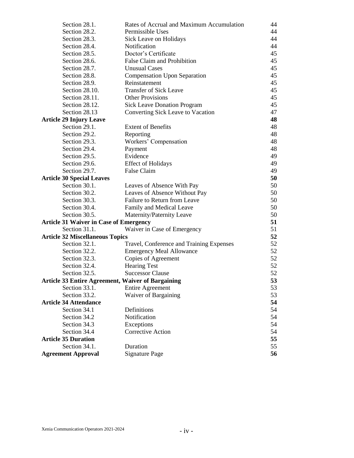| Section 28.1.                                            | Rates of Accrual and Maximum Accumulation | 44 |
|----------------------------------------------------------|-------------------------------------------|----|
| Section 28.2.                                            | Permissible Uses                          | 44 |
| Section 28.3.                                            | Sick Leave on Holidays                    | 44 |
| Section 28.4.                                            | Notification                              | 44 |
| Section 28.5.                                            | Doctor's Certificate                      | 45 |
| Section 28.6.                                            | False Claim and Prohibition               | 45 |
| Section 28.7.                                            | <b>Unusual Cases</b>                      | 45 |
| Section 28.8.                                            | <b>Compensation Upon Separation</b>       | 45 |
| Section 28.9.                                            | Reinstatement                             | 45 |
| Section 28.10.                                           | <b>Transfer of Sick Leave</b>             | 45 |
| Section 28.11.                                           | <b>Other Provisions</b>                   | 45 |
| Section 28.12.                                           | <b>Sick Leave Donation Program</b>        | 45 |
| Section 28.13                                            | Converting Sick Leave to Vacation         | 47 |
| <b>Article 29 Injury Leave</b>                           |                                           | 48 |
| Section 29.1.                                            | <b>Extent of Benefits</b>                 | 48 |
| Section 29.2.                                            | Reporting                                 | 48 |
| Section 29.3.                                            | Workers' Compensation                     | 48 |
| Section 29.4.                                            | Payment                                   | 48 |
| Section 29.5.                                            | Evidence                                  | 49 |
| Section 29.6.                                            | <b>Effect of Holidays</b>                 | 49 |
| Section 29.7.                                            | False Claim                               | 49 |
| <b>Article 30 Special Leaves</b>                         |                                           | 50 |
| Section 30.1.                                            | Leaves of Absence With Pay                | 50 |
| Section 30.2.                                            | Leaves of Absence Without Pay             | 50 |
| Section 30.3.                                            | Failure to Return from Leave              | 50 |
| Section 30.4.                                            | Family and Medical Leave                  | 50 |
| Section 30.5.                                            | Maternity/Paternity Leave                 | 50 |
| <b>Article 31 Waiver in Case of Emergency</b>            |                                           | 51 |
| Section 31.1.                                            | Waiver in Case of Emergency               | 51 |
| <b>Article 32 Miscellaneous Topics</b>                   |                                           | 52 |
| Section 32.1.                                            | Travel, Conference and Training Expenses  | 52 |
| Section 32.2.                                            | <b>Emergency Meal Allowance</b>           | 52 |
| Section 32.3.                                            | Copies of Agreement                       | 52 |
| Section 32.4.                                            | <b>Hearing Test</b>                       | 52 |
| Section 32.5.                                            | <b>Successor Clause</b>                   | 52 |
| <b>Article 33 Entire Agreement, Waiver of Bargaining</b> |                                           | 53 |
| Section 33.1.                                            | <b>Entire Agreement</b>                   | 53 |
| Section 33.2.                                            | Waiver of Bargaining                      | 53 |
| <b>Article 34 Attendance</b>                             |                                           | 54 |
| Section 34.1                                             | Definitions                               | 54 |
| Section 34.2                                             | Notification                              | 54 |
| Section 34.3                                             | Exceptions                                | 54 |
| Section 34.4                                             | <b>Corrective Action</b>                  | 54 |
| <b>Article 35 Duration</b>                               |                                           | 55 |
| Section 34.1.                                            | Duration                                  | 55 |
| <b>Agreement Approval</b>                                | <b>Signature Page</b>                     | 56 |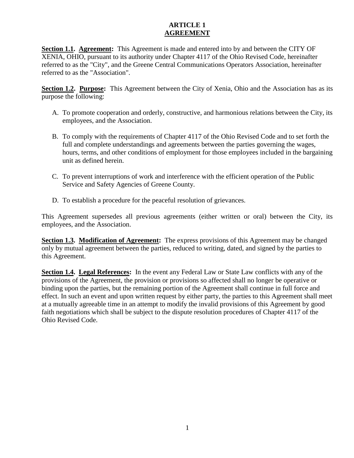#### **ARTICLE 1 AGREEMENT**

**Section 1.1. Agreement:** This Agreement is made and entered into by and between the CITY OF XENIA, OHIO, pursuant to its authority under Chapter 4117 of the Ohio Revised Code, hereinafter referred to as the "City", and the Greene Central Communications Operators Association, hereinafter referred to as the "Association".

**Section 1.2. Purpose:** This Agreement between the City of Xenia, Ohio and the Association has as its purpose the following:

- A. To promote cooperation and orderly, constructive, and harmonious relations between the City, its employees, and the Association.
- B. To comply with the requirements of Chapter 4117 of the Ohio Revised Code and to set forth the full and complete understandings and agreements between the parties governing the wages, hours, terms, and other conditions of employment for those employees included in the bargaining unit as defined herein.
- C. To prevent interruptions of work and interference with the efficient operation of the Public Service and Safety Agencies of Greene County.
- D. To establish a procedure for the peaceful resolution of grievances.

This Agreement supersedes all previous agreements (either written or oral) between the City, its employees, and the Association.

**Section 1.3. Modification of Agreement:** The express provisions of this Agreement may be changed only by mutual agreement between the parties, reduced to writing, dated, and signed by the parties to this Agreement.

**Section 1.4. Legal References:** In the event any Federal Law or State Law conflicts with any of the provisions of the Agreement, the provision or provisions so affected shall no longer be operative or binding upon the parties, but the remaining portion of the Agreement shall continue in full force and effect. In such an event and upon written request by either party, the parties to this Agreement shall meet at a mutually agreeable time in an attempt to modify the invalid provisions of this Agreement by good faith negotiations which shall be subject to the dispute resolution procedures of Chapter 4117 of the Ohio Revised Code.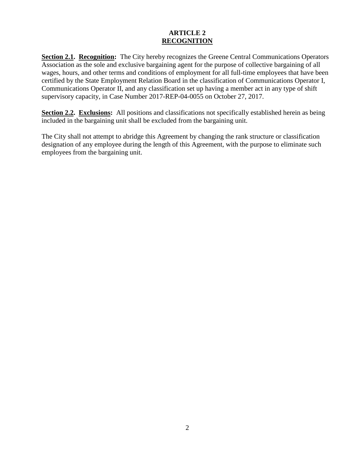#### **ARTICLE 2 RECOGNITION**

**Section 2.1. Recognition:** The City hereby recognizes the Greene Central Communications Operators Association as the sole and exclusive bargaining agent for the purpose of collective bargaining of all wages, hours, and other terms and conditions of employment for all full-time employees that have been certified by the State Employment Relation Board in the classification of Communications Operator I, Communications Operator II, and any classification set up having a member act in any type of shift supervisory capacity, in Case Number 2017-REP-04-0055 on October 27, 2017.

**Section 2.2. Exclusions:** All positions and classifications not specifically established herein as being included in the bargaining unit shall be excluded from the bargaining unit.

The City shall not attempt to abridge this Agreement by changing the rank structure or classification designation of any employee during the length of this Agreement, with the purpose to eliminate such employees from the bargaining unit.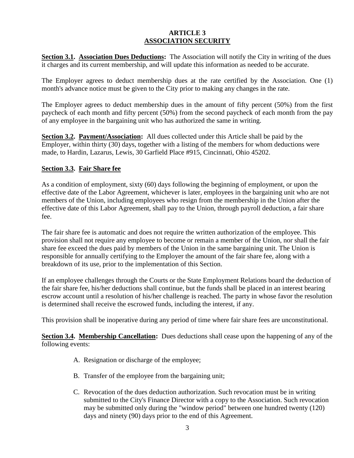#### **ARTICLE 3 ASSOCIATION SECURITY**

**Section 3.1. Association Dues Deductions:** The Association will notify the City in writing of the dues it charges and its current membership, and will update this information as needed to be accurate.

The Employer agrees to deduct membership dues at the rate certified by the Association. One (1) month's advance notice must be given to the City prior to making any changes in the rate.

The Employer agrees to deduct membership dues in the amount of fifty percent (50%) from the first paycheck of each month and fifty percent (50%) from the second paycheck of each month from the pay of any employee in the bargaining unit who has authorized the same in writing.

**Section 3.2. Payment/Association:** All dues collected under this Article shall be paid by the Employer, within thirty (30) days, together with a listing of the members for whom deductions were made, to Hardin, Lazarus, Lewis, 30 Garfield Place #915, Cincinnati, Ohio 45202.

#### **Section 3.3. Fair Share fee**

As a condition of employment, sixty (60) days following the beginning of employment, or upon the effective date of the Labor Agreement, whichever is later, employees in the bargaining unit who are not members of the Union, including employees who resign from the membership in the Union after the effective date of this Labor Agreement, shall pay to the Union, through payroll deduction, a fair share fee.

The fair share fee is automatic and does not require the written authorization of the employee. This provision shall not require any employee to become or remain a member of the Union, nor shall the fair share fee exceed the dues paid by members of the Union in the same bargaining unit. The Union is responsible for annually certifying to the Employer the amount of the fair share fee, along with a breakdown of its use, prior to the implementation of this Section.

If an employee challenges through the Courts or the State Employment Relations board the deduction of the fair share fee, his/her deductions shall continue, but the funds shall be placed in an interest bearing escrow account until a resolution of his/her challenge is reached. The party in whose favor the resolution is determined shall receive the escrowed funds, including the interest, if any.

This provision shall be inoperative during any period of time where fair share fees are unconstitutional.

**Section 3.4. Membership Cancellation:** Dues deductions shall cease upon the happening of any of the following events:

- A. Resignation or discharge of the employee;
- B. Transfer of the employee from the bargaining unit;
- C. Revocation of the dues deduction authorization. Such revocation must be in writing submitted to the City's Finance Director with a copy to the Association. Such revocation may be submitted only during the "window period" between one hundred twenty (120) days and ninety (90) days prior to the end of this Agreement.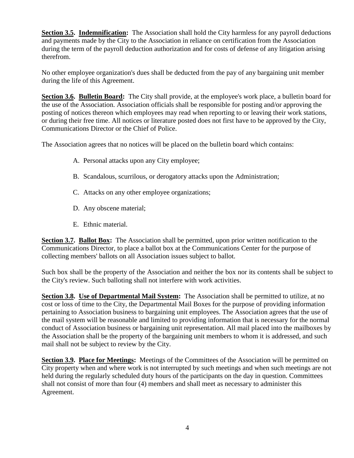**Section 3.5. Indemnification:** The Association shall hold the City harmless for any payroll deductions and payments made by the City to the Association in reliance on certification from the Association during the term of the payroll deduction authorization and for costs of defense of any litigation arising therefrom.

No other employee organization's dues shall be deducted from the pay of any bargaining unit member during the life of this Agreement.

**Section 3.6. Bulletin Board:** The City shall provide, at the employee's work place, a bulletin board for the use of the Association. Association officials shall be responsible for posting and/or approving the posting of notices thereon which employees may read when reporting to or leaving their work stations, or during their free time. All notices or literature posted does not first have to be approved by the City, Communications Director or the Chief of Police.

The Association agrees that no notices will be placed on the bulletin board which contains:

- A. Personal attacks upon any City employee;
- B. Scandalous, scurrilous, or derogatory attacks upon the Administration;
- C. Attacks on any other employee organizations;
- D. Any obscene material;
- E. Ethnic material.

**Section 3.7. Ballot Box:** The Association shall be permitted, upon prior written notification to the Communications Director, to place a ballot box at the Communications Center for the purpose of collecting members' ballots on all Association issues subject to ballot.

Such box shall be the property of the Association and neither the box nor its contents shall be subject to the City's review. Such balloting shall not interfere with work activities.

**Section 3.8. Use of Departmental Mail System:** The Association shall be permitted to utilize, at no cost or loss of time to the City, the Departmental Mail Boxes for the purpose of providing information pertaining to Association business to bargaining unit employees. The Association agrees that the use of the mail system will be reasonable and limited to providing information that is necessary for the normal conduct of Association business or bargaining unit representation. All mail placed into the mailboxes by the Association shall be the property of the bargaining unit members to whom it is addressed, and such mail shall not be subject to review by the City.

**Section 3.9. Place for Meetings:** Meetings of the Committees of the Association will be permitted on City property when and where work is not interrupted by such meetings and when such meetings are not held during the regularly scheduled duty hours of the participants on the day in question. Committees shall not consist of more than four (4) members and shall meet as necessary to administer this Agreement.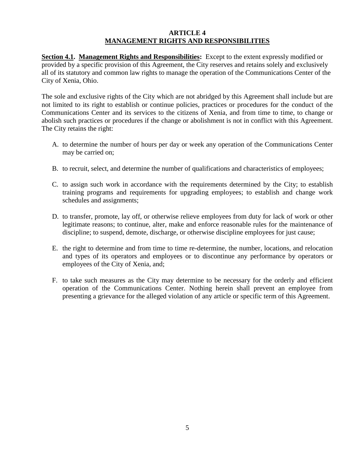#### **ARTICLE 4 MANAGEMENT RIGHTS AND RESPONSIBILITIES**

**Section 4.1. Management Rights and Responsibilities:** Except to the extent expressly modified or provided by a specific provision of this Agreement, the City reserves and retains solely and exclusively all of its statutory and common law rights to manage the operation of the Communications Center of the City of Xenia, Ohio.

The sole and exclusive rights of the City which are not abridged by this Agreement shall include but are not limited to its right to establish or continue policies, practices or procedures for the conduct of the Communications Center and its services to the citizens of Xenia, and from time to time, to change or abolish such practices or procedures if the change or abolishment is not in conflict with this Agreement. The City retains the right:

- A. to determine the number of hours per day or week any operation of the Communications Center may be carried on;
- B. to recruit, select, and determine the number of qualifications and characteristics of employees;
- C. to assign such work in accordance with the requirements determined by the City; to establish training programs and requirements for upgrading employees; to establish and change work schedules and assignments;
- D. to transfer, promote, lay off, or otherwise relieve employees from duty for lack of work or other legitimate reasons; to continue, alter, make and enforce reasonable rules for the maintenance of discipline; to suspend, demote, discharge, or otherwise discipline employees for just cause;
- E. the right to determine and from time to time re-determine, the number, locations, and relocation and types of its operators and employees or to discontinue any performance by operators or employees of the City of Xenia, and;
- F. to take such measures as the City may determine to be necessary for the orderly and efficient operation of the Communications Center. Nothing herein shall prevent an employee from presenting a grievance for the alleged violation of any article or specific term of this Agreement.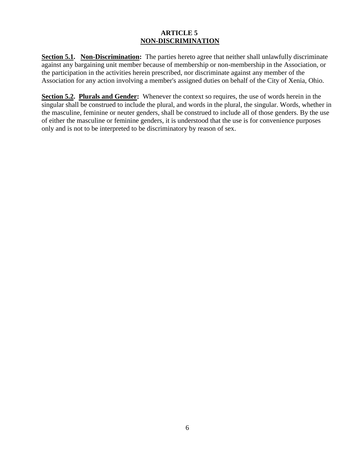#### **ARTICLE 5 NON-DISCRIMINATION**

**Section 5.1. Non-Discrimination:** The parties hereto agree that neither shall unlawfully discriminate against any bargaining unit member because of membership or non-membership in the Association, or the participation in the activities herein prescribed, nor discriminate against any member of the Association for any action involving a member's assigned duties on behalf of the City of Xenia, Ohio.

**Section 5.2. Plurals and Gender:** Whenever the context so requires, the use of words herein in the singular shall be construed to include the plural, and words in the plural, the singular. Words, whether in the masculine, feminine or neuter genders, shall be construed to include all of those genders. By the use of either the masculine or feminine genders, it is understood that the use is for convenience purposes only and is not to be interpreted to be discriminatory by reason of sex.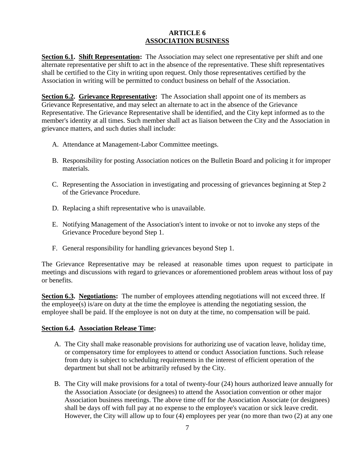#### **ARTICLE 6 ASSOCIATION BUSINESS**

**Section 6.1. Shift Representation:** The Association may select one representative per shift and one alternate representative per shift to act in the absence of the representative. These shift representatives shall be certified to the City in writing upon request. Only those representatives certified by the Association in writing will be permitted to conduct business on behalf of the Association.

**Section 6.2. Grievance Representative:** The Association shall appoint one of its members as Grievance Representative, and may select an alternate to act in the absence of the Grievance Representative. The Grievance Representative shall be identified, and the City kept informed as to the member's identity at all times. Such member shall act as liaison between the City and the Association in grievance matters, and such duties shall include:

- A. Attendance at Management-Labor Committee meetings.
- B. Responsibility for posting Association notices on the Bulletin Board and policing it for improper materials.
- C. Representing the Association in investigating and processing of grievances beginning at Step 2 of the Grievance Procedure.
- D. Replacing a shift representative who is unavailable.
- E. Notifying Management of the Association's intent to invoke or not to invoke any steps of the Grievance Procedure beyond Step 1.
- F. General responsibility for handling grievances beyond Step 1.

The Grievance Representative may be released at reasonable times upon request to participate in meetings and discussions with regard to grievances or aforementioned problem areas without loss of pay or benefits.

**Section 6.3. Negotiations:** The number of employees attending negotiations will not exceed three. If the employee(s) is/are on duty at the time the employee is attending the negotiating session, the employee shall be paid. If the employee is not on duty at the time, no compensation will be paid.

#### **Section 6.4. Association Release Time:**

- A. The City shall make reasonable provisions for authorizing use of vacation leave, holiday time, or compensatory time for employees to attend or conduct Association functions. Such release from duty is subject to scheduling requirements in the interest of efficient operation of the department but shall not be arbitrarily refused by the City.
- B. The City will make provisions for a total of twenty-four (24) hours authorized leave annually for the Association Associate (or designees) to attend the Association convention or other major Association business meetings. The above time off for the Association Associate (or designees) shall be days off with full pay at no expense to the employee's vacation or sick leave credit. However, the City will allow up to four (4) employees per year (no more than two (2) at any one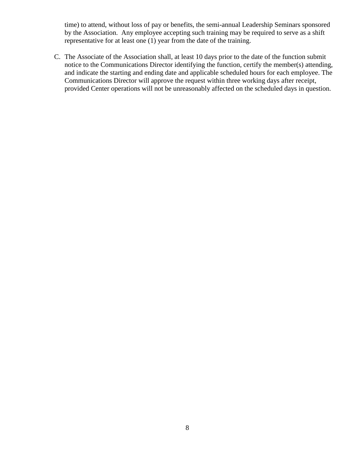time) to attend, without loss of pay or benefits, the semi-annual Leadership Seminars sponsored by the Association. Any employee accepting such training may be required to serve as a shift representative for at least one (1) year from the date of the training.

C. The Associate of the Association shall, at least 10 days prior to the date of the function submit notice to the Communications Director identifying the function, certify the member(s) attending, and indicate the starting and ending date and applicable scheduled hours for each employee. The Communications Director will approve the request within three working days after receipt, provided Center operations will not be unreasonably affected on the scheduled days in question.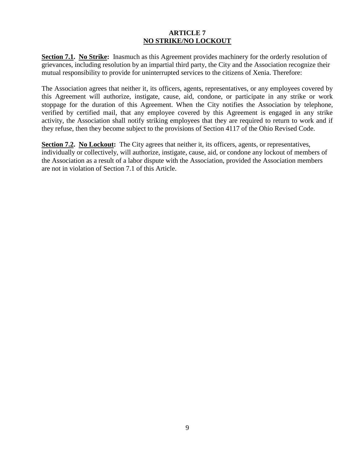#### **ARTICLE 7 NO STRIKE/NO LOCKOUT**

**Section 7.1. No Strike:** Inasmuch as this Agreement provides machinery for the orderly resolution of grievances, including resolution by an impartial third party, the City and the Association recognize their mutual responsibility to provide for uninterrupted services to the citizens of Xenia. Therefore:

The Association agrees that neither it, its officers, agents, representatives, or any employees covered by this Agreement will authorize, instigate, cause, aid, condone, or participate in any strike or work stoppage for the duration of this Agreement. When the City notifies the Association by telephone, verified by certified mail, that any employee covered by this Agreement is engaged in any strike activity, the Association shall notify striking employees that they are required to return to work and if they refuse, then they become subject to the provisions of Section 4117 of the Ohio Revised Code.

**Section 7.2. No Lockout:** The City agrees that neither it, its officers, agents, or representatives, individually or collectively, will authorize, instigate, cause, aid, or condone any lockout of members of the Association as a result of a labor dispute with the Association, provided the Association members are not in violation of Section 7.1 of this Article.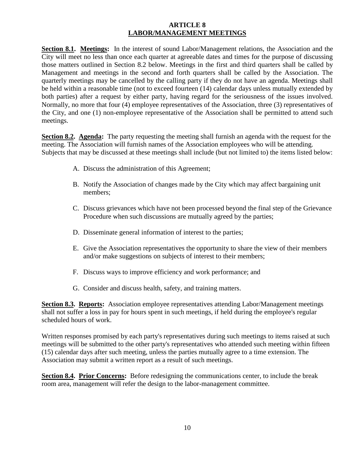#### **ARTICLE 8 LABOR/MANAGEMENT MEETINGS**

**Section 8.1. Meetings:** In the interest of sound Labor/Management relations, the Association and the City will meet no less than once each quarter at agreeable dates and times for the purpose of discussing those matters outlined in Section 8.2 below. Meetings in the first and third quarters shall be called by Management and meetings in the second and forth quarters shall be called by the Association. The quarterly meetings may be cancelled by the calling party if they do not have an agenda. Meetings shall be held within a reasonable time (not to exceed fourteen (14) calendar days unless mutually extended by both parties) after a request by either party, having regard for the seriousness of the issues involved. Normally, no more that four (4) employee representatives of the Association, three (3) representatives of the City, and one (1) non-employee representative of the Association shall be permitted to attend such meetings.

**Section 8.2. Agenda:** The party requesting the meeting shall furnish an agenda with the request for the meeting. The Association will furnish names of the Association employees who will be attending. Subjects that may be discussed at these meetings shall include (but not limited to) the items listed below:

- A. Discuss the administration of this Agreement;
- B. Notify the Association of changes made by the City which may affect bargaining unit members;
- C. Discuss grievances which have not been processed beyond the final step of the Grievance Procedure when such discussions are mutually agreed by the parties;
- D. Disseminate general information of interest to the parties;
- E. Give the Association representatives the opportunity to share the view of their members and/or make suggestions on subjects of interest to their members;
- F. Discuss ways to improve efficiency and work performance; and
- G. Consider and discuss health, safety, and training matters.

**Section 8.3. Reports:** Association employee representatives attending Labor/Management meetings shall not suffer a loss in pay for hours spent in such meetings, if held during the employee's regular scheduled hours of work.

Written responses promised by each party's representatives during such meetings to items raised at such meetings will be submitted to the other party's representatives who attended such meeting within fifteen (15) calendar days after such meeting, unless the parties mutually agree to a time extension. The Association may submit a written report as a result of such meetings.

**Section 8.4. Prior Concerns:** Before redesigning the communications center, to include the break room area, management will refer the design to the labor-management committee.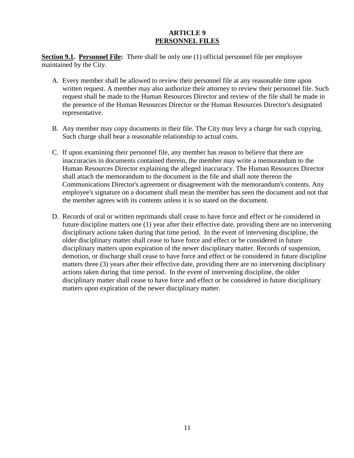#### **ARTICLE 9 PERSONNEL FILES**

**Section 9.1. Personnel File:** There shall be only one (1) official personnel file per employee maintained by the City.

- A. Every member shall be allowed to review their personnel file at any reasonable time upon written request. A member may also authorize their attorney to review their personnel file. Such request shall be made to the Human Resources Director and review of the file shall be made in the presence of the Human Resources Director or the Human Resources Director's designated representative.
- B. Any member may copy documents in their file. The City may levy a charge for such copying. Such charge shall bear a reasonable relationship to actual costs.
- C. If upon examining their personnel file, any member has reason to believe that there are inaccuracies in documents contained therein, the member may write a memorandum to the Human Resources Director explaining the alleged inaccuracy. The Human Resources Director shall attach the memorandum to the document in the file and shall note thereon the Communications Director's agreement or disagreement with the memorandum's contents. Any employee's signature on a document shall mean the member has seen the document and not that the member agrees with its contents unless it is so stated on the document.
- D. Records of oral or written reprimands shall cease to have force and effect or be considered in future discipline matters one (1) year after their effective date, providing there are no intervening disciplinary actions taken during that time period. In the event of intervening discipline, the older disciplinary matter shall cease to have force and effect or be considered in future disciplinary matters upon expiration of the newer disciplinary matter. Records of suspension, demotion, or discharge shall cease to have force and effect or be considered in future discipline matters three (3) years after their effective date, providing there are no intervening disciplinary actions taken during that time period. In the event of intervening discipline, the older disciplinary matter shall cease to have force and effect or be considered in future disciplinary matters upon expiration of the newer disciplinary matter.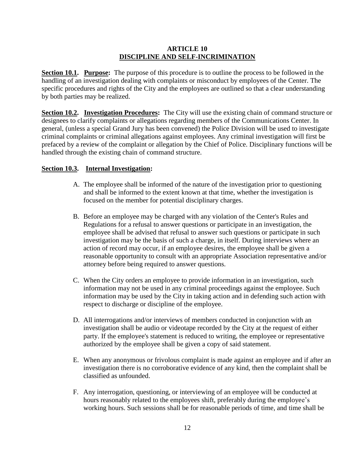#### **ARTICLE 10 DISCIPLINE AND SELF-INCRIMINATION**

**Section 10.1. Purpose:** The purpose of this procedure is to outline the process to be followed in the handling of an investigation dealing with complaints or misconduct by employees of the Center. The specific procedures and rights of the City and the employees are outlined so that a clear understanding by both parties may be realized.

**Section 10.2. Investigation Procedures:** The City will use the existing chain of command structure or designees to clarify complaints or allegations regarding members of the Communications Center. In general, (unless a special Grand Jury has been convened) the Police Division will be used to investigate criminal complaints or criminal allegations against employees. Any criminal investigation will first be prefaced by a review of the complaint or allegation by the Chief of Police. Disciplinary functions will be handled through the existing chain of command structure.

#### **Section 10.3. Internal Investigation:**

- A. The employee shall be informed of the nature of the investigation prior to questioning and shall be informed to the extent known at that time, whether the investigation is focused on the member for potential disciplinary charges.
- B. Before an employee may be charged with any violation of the Center's Rules and Regulations for a refusal to answer questions or participate in an investigation, the employee shall be advised that refusal to answer such questions or participate in such investigation may be the basis of such a charge, in itself. During interviews where an action of record may occur, if an employee desires, the employee shall be given a reasonable opportunity to consult with an appropriate Association representative and/or attorney before being required to answer questions.
- C. When the City orders an employee to provide information in an investigation, such information may not be used in any criminal proceedings against the employee. Such information may be used by the City in taking action and in defending such action with respect to discharge or discipline of the employee.
- D. All interrogations and/or interviews of members conducted in conjunction with an investigation shall be audio or videotape recorded by the City at the request of either party. If the employee's statement is reduced to writing, the employee or representative authorized by the employee shall be given a copy of said statement.
- E. When any anonymous or frivolous complaint is made against an employee and if after an investigation there is no corroborative evidence of any kind, then the complaint shall be classified as unfounded.
- F. Any interrogation, questioning, or interviewing of an employee will be conducted at hours reasonably related to the employees shift, preferably during the employee's working hours. Such sessions shall be for reasonable periods of time, and time shall be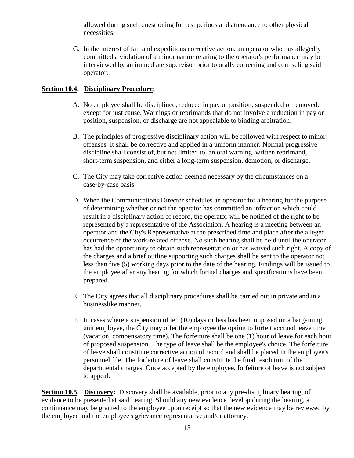allowed during such questioning for rest periods and attendance to other physical necessities.

G. In the interest of fair and expeditious corrective action, an operator who has allegedly committed a violation of a minor nature relating to the operator's performance may be interviewed by an immediate supervisor prior to orally correcting and counseling said operator.

#### **Section 10.4. Disciplinary Procedure:**

- A. No employee shall be disciplined, reduced in pay or position, suspended or removed, except for just cause. Warnings or reprimands that do not involve a reduction in pay or position, suspension, or discharge are not appealable to binding arbitration.
- B. The principles of progressive disciplinary action will be followed with respect to minor offenses. It shall be corrective and applied in a uniform manner. Normal progressive discipline shall consist of, but not limited to, an oral warning, written reprimand, short-term suspension, and either a long-term suspension, demotion, or discharge.
- C. The City may take corrective action deemed necessary by the circumstances on a case-by-case basis.
- D. When the Communications Director schedules an operator for a hearing for the purpose of determining whether or not the operator has committed an infraction which could result in a disciplinary action of record, the operator will be notified of the right to be represented by a representative of the Association. A hearing is a meeting between an operator and the City's Representative at the prescribed time and place after the alleged occurrence of the work-related offense. No such hearing shall be held until the operator has had the opportunity to obtain such representation or has waived such right. A copy of the charges and a brief outline supporting such charges shall be sent to the operator not less than five (5) working days prior to the date of the hearing. Findings will be issued to the employee after any hearing for which formal charges and specifications have been prepared.
- E. The City agrees that all disciplinary procedures shall be carried out in private and in a businesslike manner.
- F. In cases where a suspension of ten (10) days or less has been imposed on a bargaining unit employee, the City may offer the employee the option to forfeit accrued leave time (vacation, compensatory time). The forfeiture shall be one (1) hour of leave for each hour of proposed suspension. The type of leave shall be the employee's choice. The forfeiture of leave shall constitute corrective action of record and shall be placed in the employee's personnel file. The forfeiture of leave shall constitute the final resolution of the departmental charges. Once accepted by the employee, forfeiture of leave is not subject to appeal.

**Section 10.5. Discovery:** Discovery shall be available, prior to any pre-disciplinary hearing, of evidence to be presented at said hearing. Should any new evidence develop during the hearing, a continuance may be granted to the employee upon receipt so that the new evidence may be reviewed by the employee and the employee's grievance representative and/or attorney.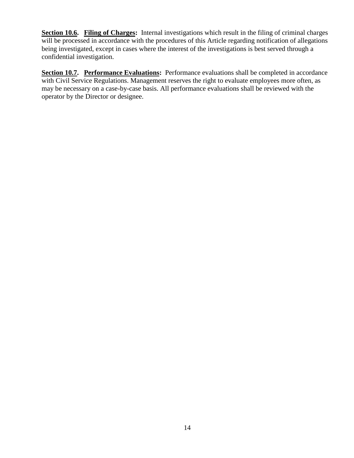**Section 10.6. Filing of Charges:** Internal investigations which result in the filing of criminal charges will be processed in accordance with the procedures of this Article regarding notification of allegations being investigated, except in cases where the interest of the investigations is best served through a confidential investigation.

**Section 10.7. Performance Evaluations:** Performance evaluations shall be completed in accordance with Civil Service Regulations. Management reserves the right to evaluate employees more often, as may be necessary on a case-by-case basis. All performance evaluations shall be reviewed with the operator by the Director or designee.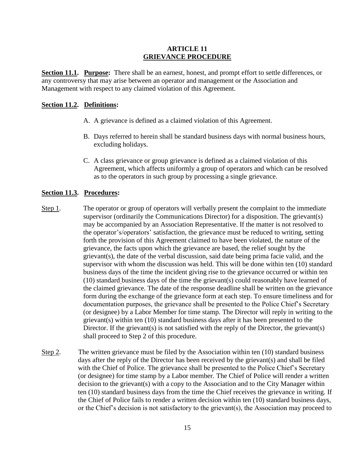#### **ARTICLE 11 GRIEVANCE PROCEDURE**

**Section 11.1. Purpose:** There shall be an earnest, honest, and prompt effort to settle differences, or any controversy that may arise between an operator and management or the Association and Management with respect to any claimed violation of this Agreement.

#### **Section 11.2. Definitions:**

- A. A grievance is defined as a claimed violation of this Agreement.
- B. Days referred to herein shall be standard business days with normal business hours, excluding holidays.
- C. A class grievance or group grievance is defined as a claimed violation of this Agreement, which affects uniformly a group of operators and which can be resolved as to the operators in such group by processing a single grievance.

#### **Section 11.3. Procedures:**

- Step 1. The operator or group of operators will verbally present the complaint to the immediate supervisor (ordinarily the Communications Director) for a disposition. The grievant(s) may be accompanied by an Association Representative. If the matter is not resolved to the operator's/operators' satisfaction, the grievance must be reduced to writing, setting forth the provision of this Agreement claimed to have been violated, the nature of the grievance, the facts upon which the grievance are based, the relief sought by the grievant(s), the date of the verbal discussion, said date being prima facie valid, and the supervisor with whom the discussion was held. This will be done within ten (10) standard business days of the time the incident giving rise to the grievance occurred or within ten (10) standard business days of the time the grievant(s) could reasonably have learned of the claimed grievance. The date of the response deadline shall be written on the grievance form during the exchange of the grievance form at each step. To ensure timeliness and for documentation purposes, the grievance shall be presented to the Police Chief's Secretary (or designee) by a Labor Member for time stamp. The Director will reply in writing to the grievant(s) within ten (10) standard business days after it has been presented to the Director. If the grievant(s) is not satisfied with the reply of the Director, the grievant(s) shall proceed to Step 2 of this procedure.
- Step 2. The written grievance must be filed by the Association within ten (10) standard business days after the reply of the Director has been received by the grievant(s) and shall be filed with the Chief of Police. The grievance shall be presented to the Police Chief's Secretary (or designee) for time stamp by a Labor member. The Chief of Police will render a written decision to the grievant(s) with a copy to the Association and to the City Manager within ten (10) standard business days from the time the Chief receives the grievance in writing. If the Chief of Police fails to render a written decision within ten (10) standard business days, or the Chief's decision is not satisfactory to the grievant(s), the Association may proceed to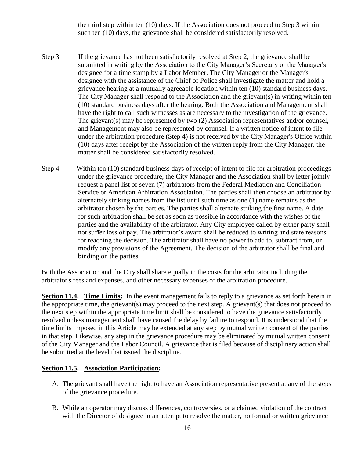the third step within ten (10) days. If the Association does not proceed to Step 3 within such ten (10) days, the grievance shall be considered satisfactorily resolved.

- Step 3. If the grievance has not been satisfactorily resolved at Step 2, the grievance shall be submitted in writing by the Association to the City Manager's Secretary or the Manager's designee for a time stamp by a Labor Member. The City Manager or the Manager's designee with the assistance of the Chief of Police shall investigate the matter and hold a grievance hearing at a mutually agreeable location within ten (10) standard business days. The City Manager shall respond to the Association and the grievant(s) in writing within ten (10) standard business days after the hearing. Both the Association and Management shall have the right to call such witnesses as are necessary to the investigation of the grievance. The grievant(s) may be represented by two (2) Association representatives and/or counsel, and Management may also be represented by counsel. If a written notice of intent to file under the arbitration procedure (Step 4) is not received by the City Manager's Office within (10) days after receipt by the Association of the written reply from the City Manager, the matter shall be considered satisfactorily resolved.
- Step 4. Within ten (10) standard business days of receipt of intent to file for arbitration proceedings under the grievance procedure, the City Manager and the Association shall by letter jointly request a panel list of seven (7) arbitrators from the Federal Mediation and Conciliation Service or American Arbitration Association. The parties shall then choose an arbitrator by alternately striking names from the list until such time as one (1) name remains as the arbitrator chosen by the parties. The parties shall alternate striking the first name. A date for such arbitration shall be set as soon as possible in accordance with the wishes of the parties and the availability of the arbitrator. Any City employee called by either party shall not suffer loss of pay. The arbitrator's award shall be reduced to writing and state reasons for reaching the decision. The arbitrator shall have no power to add to, subtract from, or modify any provisions of the Agreement. The decision of the arbitrator shall be final and binding on the parties.

Both the Association and the City shall share equally in the costs for the arbitrator including the arbitrator's fees and expenses, and other necessary expenses of the arbitration procedure.

**Section 11.4. Time Limits:** In the event management fails to reply to a grievance as set forth herein in the appropriate time, the grievant(s) may proceed to the next step. A grievant(s) that does not proceed to the next step within the appropriate time limit shall be considered to have the grievance satisfactorily resolved unless management shall have caused the delay by failure to respond. It is understood that the time limits imposed in this Article may be extended at any step by mutual written consent of the parties in that step. Likewise, any step in the grievance procedure may be eliminated by mutual written consent of the City Manager and the Labor Council. A grievance that is filed because of disciplinary action shall be submitted at the level that issued the discipline.

#### **<u>Section 11.5.** Association Participation:</u>

- A. The grievant shall have the right to have an Association representative present at any of the steps of the grievance procedure.
- B. While an operator may discuss differences, controversies, or a claimed violation of the contract with the Director of designee in an attempt to resolve the matter, no formal or written grievance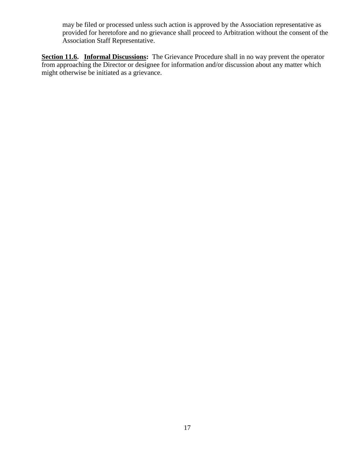may be filed or processed unless such action is approved by the Association representative as provided for heretofore and no grievance shall proceed to Arbitration without the consent of the Association Staff Representative.

**Section 11.6.** Informal Discussions: The Grievance Procedure shall in no way prevent the operator from approaching the Director or designee for information and/or discussion about any matter which might otherwise be initiated as a grievance.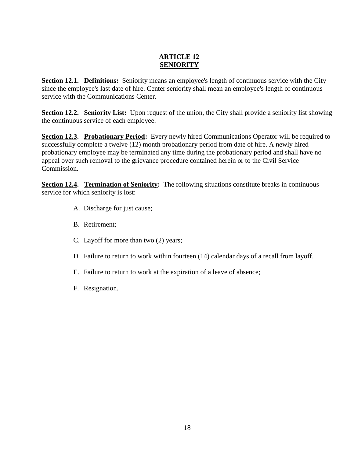#### **ARTICLE 12 SENIORITY**

**Section 12.1. Definitions:** Seniority means an employee's length of continuous service with the City since the employee's last date of hire. Center seniority shall mean an employee's length of continuous service with the Communications Center.

**Section 12.2. Seniority List:** Upon request of the union, the City shall provide a seniority list showing the continuous service of each employee.

**Section 12.3. Probationary Period:** Every newly hired Communications Operator will be required to successfully complete a twelve (12) month probationary period from date of hire. A newly hired probationary employee may be terminated any time during the probationary period and shall have no appeal over such removal to the grievance procedure contained herein or to the Civil Service Commission.

**Section 12.4. Termination of Seniority:** The following situations constitute breaks in continuous service for which seniority is lost:

- A. Discharge for just cause;
- B. Retirement;
- C. Layoff for more than two (2) years;
- D. Failure to return to work within fourteen (14) calendar days of a recall from layoff.
- E. Failure to return to work at the expiration of a leave of absence;
- F. Resignation.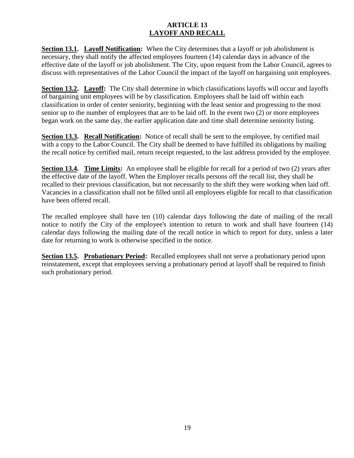#### **ARTICLE 13 LAYOFF AND RECALL**

**Section 13.1. Layoff Notification:** When the City determines that a layoff or job abolishment is necessary, they shall notify the affected employees fourteen (14) calendar days in advance of the effective date of the layoff or job abolishment. The City, upon request from the Labor Council, agrees to discuss with representatives of the Labor Council the impact of the layoff on bargaining unit employees.

**Section 13.2.** Layoff: The City shall determine in which classifications layoffs will occur and layoffs of bargaining unit employees will be by classification. Employees shall be laid off within each classification in order of center seniority, beginning with the least senior and progressing to the most senior up to the number of employees that are to be laid off. In the event two (2) or more employees began work on the same day, the earlier application date and time shall determine seniority listing.

**Section 13.3. Recall Notification:** Notice of recall shall be sent to the employee, by certified mail with a copy to the Labor Council. The City shall be deemed to have fulfilled its obligations by mailing the recall notice by certified mail, return receipt requested, to the last address provided by the employee.

**Section 13.4.** Time Limits: An employee shall be eligible for recall for a period of two (2) years after the effective date of the layoff. When the Employer recalls persons off the recall list, they shall be recalled to their previous classification, but not necessarily to the shift they were working when laid off. Vacancies in a classification shall not be filled until all employees eligible for recall to that classification have been offered recall.

The recalled employee shall have ten (10) calendar days following the date of mailing of the recall notice to notify the City of the employee's intention to return to work and shall have fourteen (14) calendar days following the mailing date of the recall notice in which to report for duty, unless a later date for returning to work is otherwise specified in the notice.

**Section 13.5. Probationary Period:** Recalled employees shall not serve a probationary period upon reinstatement, except that employees serving a probationary period at layoff shall be required to finish such probationary period.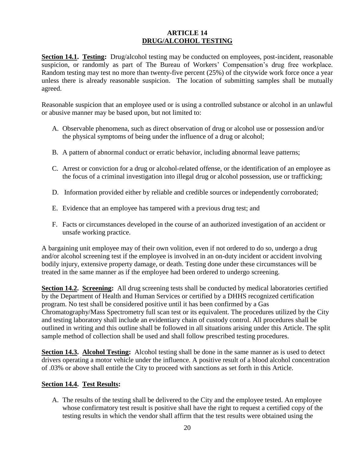#### **ARTICLE 14 DRUG/ALCOHOL TESTING**

**Section 14.1. Testing:** Drug/alcohol testing may be conducted on employees, post-incident, reasonable suspicion, or randomly as part of The Bureau of Workers' Compensation's drug free workplace. Random testing may test no more than twenty-five percent (25%) of the citywide work force once a year unless there is already reasonable suspicion. The location of submitting samples shall be mutually agreed.

Reasonable suspicion that an employee used or is using a controlled substance or alcohol in an unlawful or abusive manner may be based upon, but not limited to:

- A. Observable phenomena, such as direct observation of drug or alcohol use or possession and/or the physical symptoms of being under the influence of a drug or alcohol;
- B. A pattern of abnormal conduct or erratic behavior, including abnormal leave patterns;
- C. Arrest or conviction for a drug or alcohol-related offense, or the identification of an employee as the focus of a criminal investigation into illegal drug or alcohol possession, use or trafficking;
- D. Information provided either by reliable and credible sources or independently corroborated;
- E. Evidence that an employee has tampered with a previous drug test; and
- F. Facts or circumstances developed in the course of an authorized investigation of an accident or unsafe working practice.

A bargaining unit employee may of their own volition, even if not ordered to do so, undergo a drug and/or alcohol screening test if the employee is involved in an on-duty incident or accident involving bodily injury, extensive property damage, or death. Testing done under these circumstances will be treated in the same manner as if the employee had been ordered to undergo screening.

**Section 14.2. Screening:** All drug screening tests shall be conducted by medical laboratories certified by the Department of Health and Human Services or certified by a DHHS recognized certification program. No test shall be considered positive until it has been confirmed by a Gas Chromatography/Mass Spectrometry full scan test or its equivalent. The procedures utilized by the City and testing laboratory shall include an evidentiary chain of custody control. All procedures shall be outlined in writing and this outline shall be followed in all situations arising under this Article. The split sample method of collection shall be used and shall follow prescribed testing procedures.

**Section 14.3. Alcohol Testing:** Alcohol testing shall be done in the same manner as is used to detect drivers operating a motor vehicle under the influence. A positive result of a blood alcohol concentration of .03% or above shall entitle the City to proceed with sanctions as set forth in this Article.

#### **Section 14.4. Test Results:**

A. The results of the testing shall be delivered to the City and the employee tested. An employee whose confirmatory test result is positive shall have the right to request a certified copy of the testing results in which the vendor shall affirm that the test results were obtained using the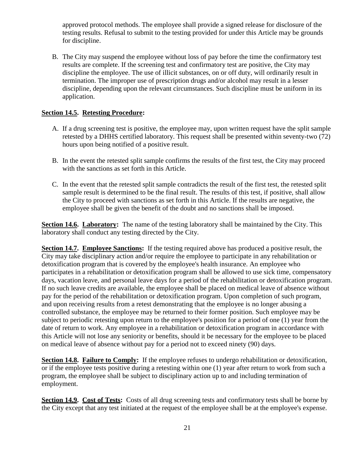approved protocol methods. The employee shall provide a signed release for disclosure of the testing results. Refusal to submit to the testing provided for under this Article may be grounds for discipline.

B. The City may suspend the employee without loss of pay before the time the confirmatory test results are complete. If the screening test and confirmatory test are positive, the City may discipline the employee. The use of illicit substances, on or off duty, will ordinarily result in termination. The improper use of prescription drugs and/or alcohol may result in a lesser discipline, depending upon the relevant circumstances. Such discipline must be uniform in its application.

#### **Section 14.5. Retesting Procedure:**

- A. If a drug screening test is positive, the employee may, upon written request have the split sample retested by a DHHS certified laboratory. This request shall be presented within seventy-two (72) hours upon being notified of a positive result.
- B. In the event the retested split sample confirms the results of the first test, the City may proceed with the sanctions as set forth in this Article.
- C. In the event that the retested split sample contradicts the result of the first test, the retested split sample result is determined to be the final result. The results of this test, if positive, shall allow the City to proceed with sanctions as set forth in this Article. If the results are negative, the employee shall be given the benefit of the doubt and no sanctions shall be imposed.

**Section 14.6. Laboratory:** The name of the testing laboratory shall be maintained by the City. This laboratory shall conduct any testing directed by the City.

**Section 14.7. Employee Sanctions:** If the testing required above has produced a positive result, the City may take disciplinary action and/or require the employee to participate in any rehabilitation or detoxification program that is covered by the employee's health insurance. An employee who participates in a rehabilitation or detoxification program shall be allowed to use sick time, compensatory days, vacation leave, and personal leave days for a period of the rehabilitation or detoxification program. If no such leave credits are available, the employee shall be placed on medical leave of absence without pay for the period of the rehabilitation or detoxification program. Upon completion of such program, and upon receiving results from a retest demonstrating that the employee is no longer abusing a controlled substance, the employee may be returned to their former position. Such employee may be subject to periodic retesting upon return to the employee's position for a period of one (1) year from the date of return to work. Any employee in a rehabilitation or detoxification program in accordance with this Article will not lose any seniority or benefits, should it be necessary for the employee to be placed on medical leave of absence without pay for a period not to exceed ninety (90) days.

**Section 14.8. Failure to Comply:** If the employee refuses to undergo rehabilitation or detoxification, or if the employee tests positive during a retesting within one (1) year after return to work from such a program, the employee shall be subject to disciplinary action up to and including termination of employment.

**Section 14.9. Cost of Tests:** Costs of all drug screening tests and confirmatory tests shall be borne by the City except that any test initiated at the request of the employee shall be at the employee's expense.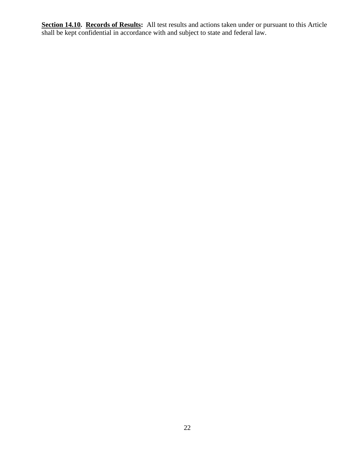**Section 14.10. Records of Results:** All test results and actions taken under or pursuant to this Article shall be kept confidential in accordance with and subject to state and federal law.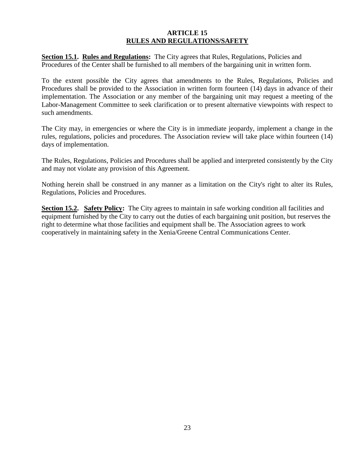#### **ARTICLE 15 RULES AND REGULATIONS/SAFETY**

**Section 15.1. Rules and Regulations:** The City agrees that Rules, Regulations, Policies and Procedures of the Center shall be furnished to all members of the bargaining unit in written form.

To the extent possible the City agrees that amendments to the Rules, Regulations, Policies and Procedures shall be provided to the Association in written form fourteen (14) days in advance of their implementation. The Association or any member of the bargaining unit may request a meeting of the Labor-Management Committee to seek clarification or to present alternative viewpoints with respect to such amendments.

The City may, in emergencies or where the City is in immediate jeopardy, implement a change in the rules, regulations, policies and procedures. The Association review will take place within fourteen (14) days of implementation.

The Rules, Regulations, Policies and Procedures shall be applied and interpreted consistently by the City and may not violate any provision of this Agreement.

Nothing herein shall be construed in any manner as a limitation on the City's right to alter its Rules, Regulations, Policies and Procedures.

**Section 15.2. Safety Policy:** The City agrees to maintain in safe working condition all facilities and equipment furnished by the City to carry out the duties of each bargaining unit position, but reserves the right to determine what those facilities and equipment shall be. The Association agrees to work cooperatively in maintaining safety in the Xenia/Greene Central Communications Center.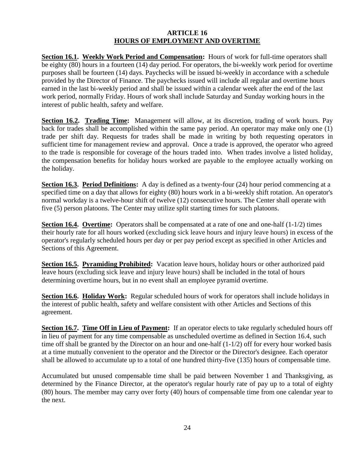#### **ARTICLE 16 HOURS OF EMPLOYMENT AND OVERTIME**

**Section 16.1. Weekly Work Period and Compensation:** Hours of work for full-time operators shall be eighty (80) hours in a fourteen (14) day period. For operators, the bi-weekly work period for overtime purposes shall be fourteen (14) days. Paychecks will be issued bi-weekly in accordance with a schedule provided by the Director of Finance. The paychecks issued will include all regular and overtime hours earned in the last bi-weekly period and shall be issued within a calendar week after the end of the last work period, normally Friday. Hours of work shall include Saturday and Sunday working hours in the interest of public health, safety and welfare.

**Section 16.2. Trading Time:** Management will allow, at its discretion, trading of work hours. Pay back for trades shall be accomplished within the same pay period. An operator may make only one (1) trade per shift day. Requests for trades shall be made in writing by both requesting operators in sufficient time for management review and approval. Once a trade is approved, the operator who agreed to the trade is responsible for coverage of the hours traded into. When trades involve a listed holiday, the compensation benefits for holiday hours worked are payable to the employee actually working on the holiday.

**Section 16.3. Period Definitions:** A day is defined as a twenty-four (24) hour period commencing at a specified time on a day that allows for eighty (80) hours work in a bi-weekly shift rotation. An operator's normal workday is a twelve-hour shift of twelve (12) consecutive hours. The Center shall operate with five (5) person platoons. The Center may utilize split starting times for such platoons.

**Section 16.4. Overtime:** Operators shall be compensated at a rate of one and one-half (1-1/2) times their hourly rate for all hours worked (excluding sick leave hours and injury leave hours) in excess of the operator's regularly scheduled hours per day or per pay period except as specified in other Articles and Sections of this Agreement.

**Section 16.5. Pyramiding Prohibited:** Vacation leave hours, holiday hours or other authorized paid leave hours (excluding sick leave and injury leave hours) shall be included in the total of hours determining overtime hours, but in no event shall an employee pyramid overtime.

**Section 16.6. Holiday Work:** Regular scheduled hours of work for operators shall include holidays in the interest of public health, safety and welfare consistent with other Articles and Sections of this agreement.

**Section 16.7. Time Off in Lieu of Payment:** If an operator elects to take regularly scheduled hours off in lieu of payment for any time compensable as unscheduled overtime as defined in Section 16.4, such time off shall be granted by the Director on an hour and one-half (1-1/2) off for every hour worked basis at a time mutually convenient to the operator and the Director or the Director's designee. Each operator shall be allowed to accumulate up to a total of one hundred thirty-five (135) hours of compensable time.

Accumulated but unused compensable time shall be paid between November 1 and Thanksgiving, as determined by the Finance Director, at the operator's regular hourly rate of pay up to a total of eighty (80) hours. The member may carry over forty (40) hours of compensable time from one calendar year to the next.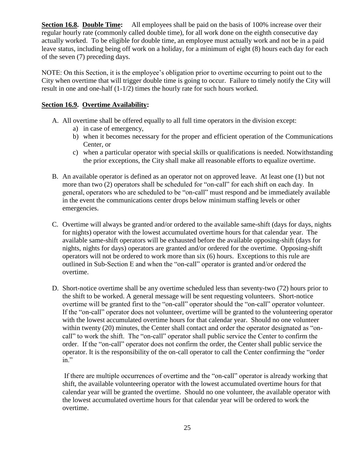**Section 16.8. Double Time:** All employees shall be paid on the basis of 100% increase over their regular hourly rate (commonly called double time), for all work done on the eighth consecutive day actually worked. To be eligible for double time, an employee must actually work and not be in a paid leave status, including being off work on a holiday, for a minimum of eight (8) hours each day for each of the seven (7) preceding days.

NOTE: On this Section, it is the employee's obligation prior to overtime occurring to point out to the City when overtime that will trigger double time is going to occur. Failure to timely notify the City will result in one and one-half  $(1-1/2)$  times the hourly rate for such hours worked.

#### **Section 16.9. Overtime Availability:**

- A. All overtime shall be offered equally to all full time operators in the division except:
	- a) in case of emergency,
	- b) when it becomes necessary for the proper and efficient operation of the Communications Center, or
	- c) when a particular operator with special skills or qualifications is needed. Notwithstanding the prior exceptions, the City shall make all reasonable efforts to equalize overtime.
- B. An available operator is defined as an operator not on approved leave. At least one (1) but not more than two (2) operators shall be scheduled for "on-call" for each shift on each day. In general, operators who are scheduled to be "on-call" must respond and be immediately available in the event the communications center drops below minimum staffing levels or other emergencies.
- C. Overtime will always be granted and/or ordered to the available same-shift (days for days, nights for nights) operator with the lowest accumulated overtime hours for that calendar year. The available same-shift operators will be exhausted before the available opposing-shift (days for nights, nights for days) operators are granted and/or ordered for the overtime. Opposing-shift operators will not be ordered to work more than six (6) hours. Exceptions to this rule are outlined in Sub-Section E and when the "on-call" operator is granted and/or ordered the overtime.
- D. Short-notice overtime shall be any overtime scheduled less than seventy-two (72) hours prior to the shift to be worked. A general message will be sent requesting volunteers. Short-notice overtime will be granted first to the "on-call" operator should the "on-call" operator volunteer. If the "on-call" operator does not volunteer, overtime will be granted to the volunteering operator with the lowest accumulated overtime hours for that calendar year. Should no one volunteer within twenty (20) minutes, the Center shall contact and order the operator designated as "oncall" to work the shift. The "on-call" operator shall public service the Center to confirm the order. If the "on-call" operator does not confirm the order, the Center shall public service the operator. It is the responsibility of the on-call operator to call the Center confirming the "order in."

If there are multiple occurrences of overtime and the "on-call" operator is already working that shift, the available volunteering operator with the lowest accumulated overtime hours for that calendar year will be granted the overtime. Should no one volunteer, the available operator with the lowest accumulated overtime hours for that calendar year will be ordered to work the overtime.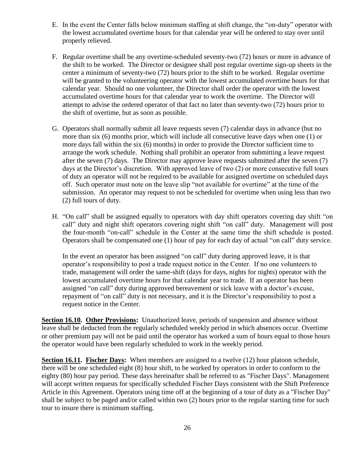- E. In the event the Center falls below minimum staffing at shift change, the "on-duty" operator with the lowest accumulated overtime hours for that calendar year will be ordered to stay over until properly relieved.
- F. Regular overtime shall be any overtime-scheduled seventy-two (72) hours or more in advance of the shift to be worked. The Director or designee shall post regular overtime sign-up sheets in the center a minimum of seventy-two (72) hours prior to the shift to be worked. Regular overtime will be granted to the volunteering operator with the lowest accumulated overtime hours for that calendar year. Should no one volunteer, the Director shall order the operator with the lowest accumulated overtime hours for that calendar year to work the overtime. The Director will attempt to advise the ordered operator of that fact no later than seventy-two (72) hours prior to the shift of overtime, but as soon as possible.
- G. Operators shall normally submit all leave requests seven (7) calendar days in advance (but no more than six (6) months prior, which will include all consecutive leave days when one (1) or more days fall within the six (6) months) in order to provide the Director sufficient time to arrange the work schedule. Nothing shall prohibit an operator from submitting a leave request after the seven (7) days. The Director may approve leave requests submitted after the seven (7) days at the Director's discretion. With approved leave of two (2) or more consecutive full tours of duty an operator will not be required to be available for assigned overtime on scheduled days off. Such operator must note on the leave slip "not available for overtime" at the time of the submission. An operator may request to not be scheduled for overtime when using less than two (2) full tours of duty.
- H. "On call" shall be assigned equally to operators with day shift operators covering day shift "on call" duty and night shift operators covering night shift "on call" duty. Management will post the four-month "on-call" schedule in the Center at the same time the shift schedule is posted. Operators shall be compensated one (1) hour of pay for each day of actual "on call" duty service.

In the event an operator has been assigned "on call" duty during approved leave, it is that operator's responsibility to post a trade request notice in the Center. If no one volunteers to trade, management will order the same-shift (days for days, nights for nights) operator with the lowest accumulated overtime hours for that calendar year to trade. If an operator has been assigned "on call" duty during approved bereavement or sick leave with a doctor's excuse, repayment of "on call" duty is not necessary, and it is the Director's responsibility to post a request notice in the Center.

**Section 16.10. Other Provisions:** Unauthorized leave, periods of suspension and absence without leave shall be deducted from the regularly scheduled weekly period in which absences occur. Overtime or other premium pay will not be paid until the operator has worked a sum of hours equal to those hours the operator would have been regularly scheduled to work in the weekly period.

**Section 16.11. Fischer Days:** When members are assigned to a twelve (12) hour platoon schedule, there will be one scheduled eight (8) hour shift, to be worked by operators in order to conform to the eighty (80) hour pay period. These days hereinafter shall be referred to as "Fischer Days". Management will accept written requests for specifically scheduled Fischer Days consistent with the Shift Preference Article in this Agreement. Operators using time off at the beginning of a tour of duty as a "Fischer Day" shall be subject to be paged and/or called within two (2) hours prior to the regular starting time for such tour to insure there is minimum staffing.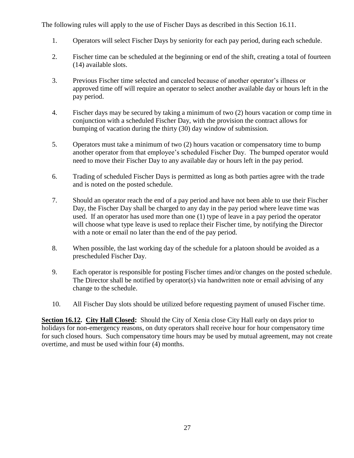The following rules will apply to the use of Fischer Days as described in this Section 16.11.

- 1. Operators will select Fischer Days by seniority for each pay period, during each schedule.
- 2. Fischer time can be scheduled at the beginning or end of the shift, creating a total of fourteen (14) available slots.
- 3. Previous Fischer time selected and canceled because of another operator's illness or approved time off will require an operator to select another available day or hours left in the pay period.
- 4. Fischer days may be secured by taking a minimum of two (2) hours vacation or comp time in conjunction with a scheduled Fischer Day, with the provision the contract allows for bumping of vacation during the thirty (30) day window of submission.
- 5. Operators must take a minimum of two (2) hours vacation or compensatory time to bump another operator from that employee's scheduled Fischer Day. The bumped operator would need to move their Fischer Day to any available day or hours left in the pay period.
- 6. Trading of scheduled Fischer Days is permitted as long as both parties agree with the trade and is noted on the posted schedule.
- 7. Should an operator reach the end of a pay period and have not been able to use their Fischer Day, the Fischer Day shall be charged to any day in the pay period where leave time was used. If an operator has used more than one (1) type of leave in a pay period the operator will choose what type leave is used to replace their Fischer time, by notifying the Director with a note or email no later than the end of the pay period.
- 8. When possible, the last working day of the schedule for a platoon should be avoided as a prescheduled Fischer Day.
- 9. Each operator is responsible for posting Fischer times and/or changes on the posted schedule. The Director shall be notified by operator(s) via handwritten note or email advising of any change to the schedule.
- 10. All Fischer Day slots should be utilized before requesting payment of unused Fischer time.

**Section 16.12. City Hall Closed:** Should the City of Xenia close City Hall early on days prior to holidays for non-emergency reasons, on duty operators shall receive hour for hour compensatory time for such closed hours. Such compensatory time hours may be used by mutual agreement, may not create overtime, and must be used within four (4) months.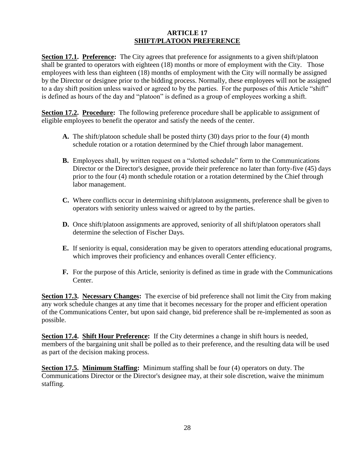#### **ARTICLE 17 SHIFT/PLATOON PREFERENCE**

**Section 17.1. Preference:** The City agrees that preference for assignments to a given shift/platoon shall be granted to operators with eighteen (18) months or more of employment with the City. Those employees with less than eighteen (18) months of employment with the City will normally be assigned by the Director or designee prior to the bidding process. Normally, these employees will not be assigned to a day shift position unless waived or agreed to by the parties. For the purposes of this Article "shift" is defined as hours of the day and "platoon" is defined as a group of employees working a shift.

**Section 17.2. Procedure:** The following preference procedure shall be applicable to assignment of eligible employees to benefit the operator and satisfy the needs of the center.

- **A.** The shift/platoon schedule shall be posted thirty (30) days prior to the four (4) month schedule rotation or a rotation determined by the Chief through labor management.
- **B.** Employees shall, by written request on a "slotted schedule" form to the Communications Director or the Director's designee, provide their preference no later than forty-five (45) days prior to the four (4) month schedule rotation or a rotation determined by the Chief through labor management.
- **C.** Where conflicts occur in determining shift/platoon assignments, preference shall be given to operators with seniority unless waived or agreed to by the parties.
- **D.** Once shift/platoon assignments are approved, seniority of all shift/platoon operators shall determine the selection of Fischer Days.
- **E.** If seniority is equal, consideration may be given to operators attending educational programs, which improves their proficiency and enhances overall Center efficiency.
- **F.** For the purpose of this Article, seniority is defined as time in grade with the Communications Center.

**Section 17.3. Necessary Changes:** The exercise of bid preference shall not limit the City from making any work schedule changes at any time that it becomes necessary for the proper and efficient operation of the Communications Center, but upon said change, bid preference shall be re-implemented as soon as possible.

**Section 17.4. Shift Hour Preference:** If the City determines a change in shift hours is needed, members of the bargaining unit shall be polled as to their preference, and the resulting data will be used as part of the decision making process.

**Section 17.5. Minimum Staffing:** Minimum staffing shall be four (4) operators on duty. The Communications Director or the Director's designee may, at their sole discretion, waive the minimum staffing.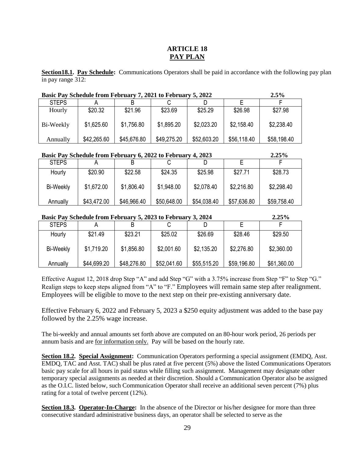#### **ARTICLE 18 PAY PLAN**

**Section18.1. Pay Schedule:** Communications Operators shall be paid in accordance with the following pay plan in pay range 312:

| Basic Pay Schedule from February 7, 2021 to February 5, 2022<br>2.5% |             |             |             |             |             |             |
|----------------------------------------------------------------------|-------------|-------------|-------------|-------------|-------------|-------------|
| <b>STEPS</b>                                                         |             |             |             |             |             |             |
| Hourly                                                               | \$20.32     | \$21.96     | \$23.69     | \$25.29     | \$26.98     | \$27.98     |
| Bi-Weekly                                                            | \$1,625.60  | \$1,756.80  | \$1,895.20  | \$2,023.20  | \$2,158.40  | \$2,238.40  |
| Annually                                                             | \$42,265.60 | \$45,676.80 | \$49,275.20 | \$52,603.20 | \$56,118.40 | \$58,198.40 |

#### **Basic Pay Schedule from February 6, 2022 to February 4, 2023 2.25%**

| <b>STEPS</b> |             |             |             |             |             |             |
|--------------|-------------|-------------|-------------|-------------|-------------|-------------|
| Hourly       | \$20.90     | \$22.58     | \$24.35     | \$25.98     | \$27.71     | \$28.73     |
| Bi-Weekly    | \$1,672.00  | \$1,806.40  | \$1,948.00  | \$2,078.40  | \$2,216.80  | \$2,298.40  |
| Annually     | \$43,472.00 | \$46,966.40 | \$50,648.00 | \$54,038.40 | \$57,636.80 | \$59,758.40 |

#### **Basic Pay Schedule from February 5, 2023 to February 3, 2024 2.25%**

|              |             |             |             |             |             | ------      |  |
|--------------|-------------|-------------|-------------|-------------|-------------|-------------|--|
| <b>STEPS</b> |             | B           |             |             |             |             |  |
| Hourly       | \$21.49     | \$23.21     | \$25.02     | \$26.69     | \$28.46     | \$29.50     |  |
| Bi-Weekly    | \$1,719.20  | \$1,856.80  | \$2,001.60  | \$2,135.20  | \$2,276.80  | \$2,360.00  |  |
| Annually     | \$44,699.20 | \$48,276.80 | \$52,041.60 | \$55,515.20 | \$59,196.80 | \$61,360.00 |  |

Effective August 12, 2018 drop Step "A" and add Step "G" with a 3.75% increase from Step "F" to Step "G." Realign steps to keep steps aligned from "A" to "F." Employees will remain same step after realignment. Employees will be eligible to move to the next step on their pre-existing anniversary date.

Effective February 6, 2022 and February 5, 2023 a \$250 equity adjustment was added to the base pay followed by the 2.25% wage increase.

The bi-weekly and annual amounts set forth above are computed on an 80-hour work period, 26 periods per annum basis and are for information only. Pay will be based on the hourly rate.

**Section 18.2. Special Assignment:** Communication Operators performing a special assignment (EMDQ, Asst. EMDQ, TAC and Asst. TAC) shall be plus rated at five percent (5%) above the listed Communications Operators basic pay scale for all hours in paid status while filling such assignment. Management may designate other temporary special assignments as needed at their discretion. Should a Communication Operator also be assigned as the O.I.C. listed below, such Communication Operator shall receive an additional seven percent (7%) plus rating for a total of twelve percent (12%).

**Section 18.3. Operator-In-Charge:** In the absence of the Director or his/her designee for more than three consecutive standard administrative business days, an operator shall be selected to serve as the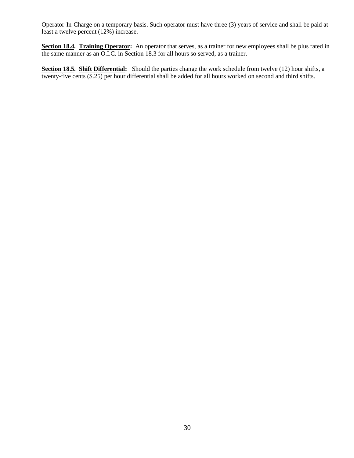Operator-In-Charge on a temporary basis. Such operator must have three (3) years of service and shall be paid at least a twelve percent (12%) increase.

**Section 18.4. Training Operator:** An operator that serves, as a trainer for new employees shall be plus rated in the same manner as an O.I.C. in Section 18.3 for all hours so served, as a trainer.

**Section 18.5. Shift Differential:** Should the parties change the work schedule from twelve (12) hour shifts, a twenty-five cents (\$.25) per hour differential shall be added for all hours worked on second and third shifts.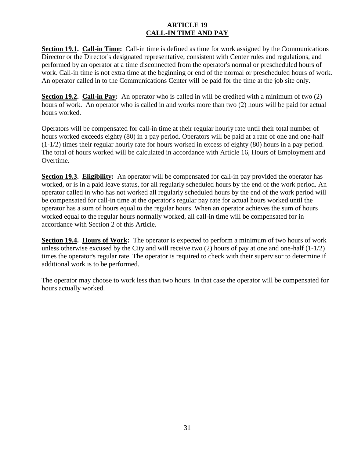#### **ARTICLE 19 CALL-IN TIME AND PAY**

**Section 19.1. Call-in Time:** Call-in time is defined as time for work assigned by the Communications Director or the Director's designated representative, consistent with Center rules and regulations, and performed by an operator at a time disconnected from the operator's normal or prescheduled hours of work. Call-in time is not extra time at the beginning or end of the normal or prescheduled hours of work. An operator called in to the Communications Center will be paid for the time at the job site only.

**Section 19.2. Call-in Pay:** An operator who is called in will be credited with a minimum of two (2) hours of work. An operator who is called in and works more than two (2) hours will be paid for actual hours worked.

Operators will be compensated for call-in time at their regular hourly rate until their total number of hours worked exceeds eighty (80) in a pay period. Operators will be paid at a rate of one and one-half (1-1/2) times their regular hourly rate for hours worked in excess of eighty (80) hours in a pay period. The total of hours worked will be calculated in accordance with Article 16, Hours of Employment and Overtime.

**Section 19.3. Eligibility:** An operator will be compensated for call-in pay provided the operator has worked, or is in a paid leave status, for all regularly scheduled hours by the end of the work period. An operator called in who has not worked all regularly scheduled hours by the end of the work period will be compensated for call-in time at the operator's regular pay rate for actual hours worked until the operator has a sum of hours equal to the regular hours. When an operator achieves the sum of hours worked equal to the regular hours normally worked, all call-in time will be compensated for in accordance with Section 2 of this Article.

**Section 19.4. Hours of Work:** The operator is expected to perform a minimum of two hours of work unless otherwise excused by the City and will receive two  $(2)$  hours of pay at one and one-half  $(1-1/2)$ times the operator's regular rate. The operator is required to check with their supervisor to determine if additional work is to be performed.

The operator may choose to work less than two hours. In that case the operator will be compensated for hours actually worked.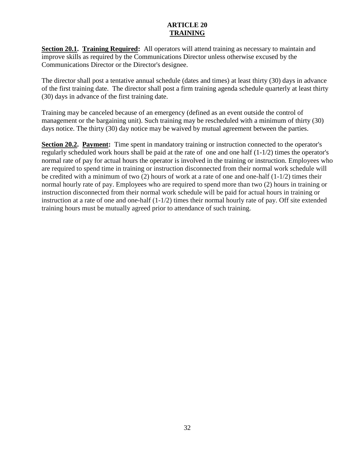#### **ARTICLE 20 TRAINING**

**Section 20.1. Training Required:** All operators will attend training as necessary to maintain and improve skills as required by the Communications Director unless otherwise excused by the Communications Director or the Director's designee.

The director shall post a tentative annual schedule (dates and times) at least thirty (30) days in advance of the first training date. The director shall post a firm training agenda schedule quarterly at least thirty (30) days in advance of the first training date.

Training may be canceled because of an emergency (defined as an event outside the control of management or the bargaining unit). Such training may be rescheduled with a minimum of thirty (30) days notice. The thirty (30) day notice may be waived by mutual agreement between the parties.

**Section 20.2. Payment:** Time spent in mandatory training or instruction connected to the operator's regularly scheduled work hours shall be paid at the rate of one and one half (1-1/2) times the operator's normal rate of pay for actual hours the operator is involved in the training or instruction. Employees who are required to spend time in training or instruction disconnected from their normal work schedule will be credited with a minimum of two  $(2)$  hours of work at a rate of one and one-half  $(1-1/2)$  times their normal hourly rate of pay. Employees who are required to spend more than two (2) hours in training or instruction disconnected from their normal work schedule will be paid for actual hours in training or instruction at a rate of one and one-half (1-1/2) times their normal hourly rate of pay. Off site extended training hours must be mutually agreed prior to attendance of such training.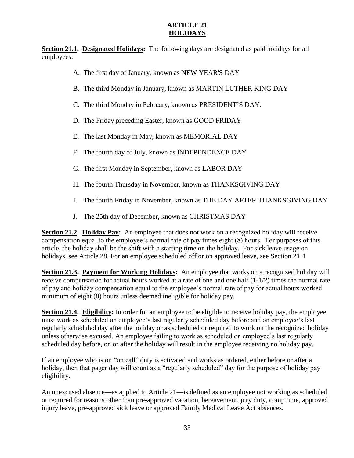#### **ARTICLE 21 HOLIDAYS**

**Section 21.1. Designated Holidays:** The following days are designated as paid holidays for all employees:

- A. The first day of January, known as NEW YEAR'S DAY
- B. The third Monday in January, known as MARTIN LUTHER KING DAY
- C. The third Monday in February, known as PRESIDENT'S DAY.
- D. The Friday preceding Easter, known as GOOD FRIDAY
- E. The last Monday in May, known as MEMORIAL DAY
- F. The fourth day of July, known as INDEPENDENCE DAY
- G. The first Monday in September, known as LABOR DAY
- H. The fourth Thursday in November, known as THANKSGIVING DAY
- I. The fourth Friday in November, known as THE DAY AFTER THANKSGIVING DAY
- J. The 25th day of December, known as CHRISTMAS DAY

**Section 21.2. Holiday Pay:** An employee that does not work on a recognized holiday will receive compensation equal to the employee's normal rate of pay times eight (8) hours. For purposes of this article, the holiday shall be the shift with a starting time on the holiday. For sick leave usage on holidays, see Article 28. For an employee scheduled off or on approved leave, see Section 21.4.

**Section 21.3. Payment for Working Holidays:** An employee that works on a recognized holiday will receive compensation for actual hours worked at a rate of one and one half (1-1/2) times the normal rate of pay and holiday compensation equal to the employee's normal rate of pay for actual hours worked minimum of eight (8) hours unless deemed ineligible for holiday pay.

**Section 21.4. Eligibility:** In order for an employee to be eligible to receive holiday pay, the employee must work as scheduled on employee's last regularly scheduled day before and on employee's last regularly scheduled day after the holiday or as scheduled or required to work on the recognized holiday unless otherwise excused. An employee failing to work as scheduled on employee's last regularly scheduled day before, on or after the holiday will result in the employee receiving no holiday pay.

If an employee who is on "on call" duty is activated and works as ordered, either before or after a holiday, then that pager day will count as a "regularly scheduled" day for the purpose of holiday pay eligibility.

An unexcused absence—as applied to Article 21—is defined as an employee not working as scheduled or required for reasons other than pre-approved vacation, bereavement, jury duty, comp time, approved injury leave, pre-approved sick leave or approved Family Medical Leave Act absences.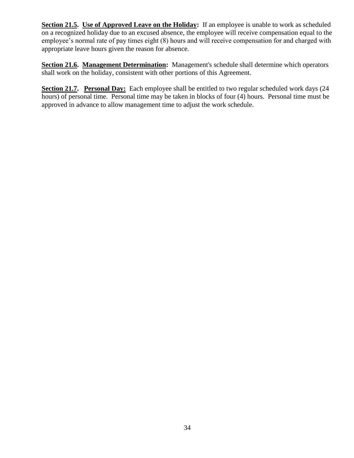**Section 21.5. Use of Approved Leave on the Holiday:** If an employee is unable to work as scheduled on a recognized holiday due to an excused absence, the employee will receive compensation equal to the employee's normal rate of pay times eight (8) hours and will receive compensation for and charged with appropriate leave hours given the reason for absence.

**Section 21.6. Management Determination:** Management's schedule shall determine which operators shall work on the holiday, consistent with other portions of this Agreement.

**Section 21.7. Personal Day:** Each employee shall be entitled to two regular scheduled work days (24 hours) of personal time. Personal time may be taken in blocks of four (4) hours. Personal time must be approved in advance to allow management time to adjust the work schedule.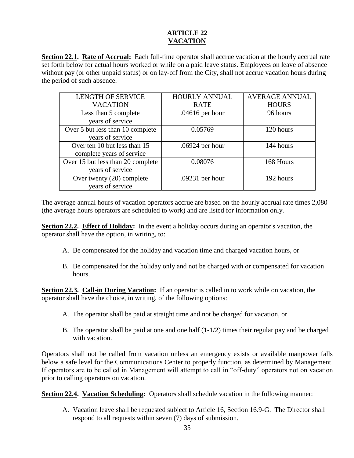#### **ARTICLE 22 VACATION**

**Section 22.1. Rate of Accrual:** Each full-time operator shall accrue vacation at the hourly accrual rate set forth below for actual hours worked or while on a paid leave status. Employees on leave of absence without pay (or other unpaid status) or on lay-off from the City, shall not accrue vacation hours during the period of such absence.

| <b>LENGTH OF SERVICE</b>          | <b>HOURLY ANNUAL</b> | <b>AVERAGE ANNUAL</b> |  |
|-----------------------------------|----------------------|-----------------------|--|
| <b>VACATION</b>                   | <b>RATE</b>          | <b>HOURS</b>          |  |
| Less than 5 complete              | $.04616$ per hour    | 96 hours              |  |
| years of service                  |                      |                       |  |
| Over 5 but less than 10 complete  | 0.05769              | 120 hours             |  |
| years of service                  |                      |                       |  |
| Over ten 10 but less than 15      | .06924 per hour      | 144 hours             |  |
| complete years of service         |                      |                       |  |
| Over 15 but less than 20 complete | 0.08076              | 168 Hours             |  |
| years of service                  |                      |                       |  |
| Over twenty (20) complete         | .09231 per hour      | 192 hours             |  |
| years of service                  |                      |                       |  |

The average annual hours of vacation operators accrue are based on the hourly accrual rate times 2,080 (the average hours operators are scheduled to work) and are listed for information only.

**Section 22.2. Effect of Holiday:** In the event a holiday occurs during an operator's vacation, the operator shall have the option, in writing, to:

- A. Be compensated for the holiday and vacation time and charged vacation hours, or
- B. Be compensated for the holiday only and not be charged with or compensated for vacation hours.

**Section 22.3. Call-in During Vacation:** If an operator is called in to work while on vacation, the operator shall have the choice, in writing, of the following options:

- A. The operator shall be paid at straight time and not be charged for vacation, or
- B. The operator shall be paid at one and one half  $(1-1/2)$  times their regular pay and be charged with vacation.

Operators shall not be called from vacation unless an emergency exists or available manpower falls below a safe level for the Communications Center to properly function, as determined by Management. If operators are to be called in Management will attempt to call in "off-duty" operators not on vacation prior to calling operators on vacation.

**Section 22.4. Vacation Scheduling:** Operators shall schedule vacation in the following manner:

A. Vacation leave shall be requested subject to Article 16, Section 16.9-G. The Director shall respond to all requests within seven (7) days of submission.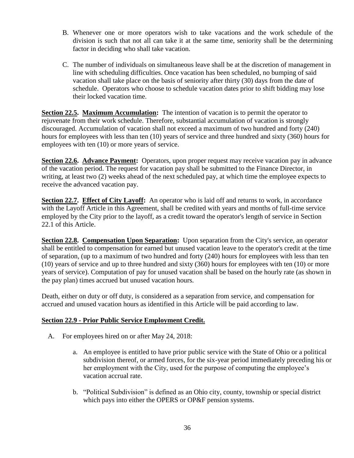- B. Whenever one or more operators wish to take vacations and the work schedule of the division is such that not all can take it at the same time, seniority shall be the determining factor in deciding who shall take vacation.
- C. The number of individuals on simultaneous leave shall be at the discretion of management in line with scheduling difficulties. Once vacation has been scheduled, no bumping of said vacation shall take place on the basis of seniority after thirty (30) days from the date of schedule. Operators who choose to schedule vacation dates prior to shift bidding may lose their locked vacation time.

**Section 22.5. Maximum Accumulation:** The intention of vacation is to permit the operator to rejuvenate from their work schedule. Therefore, substantial accumulation of vacation is strongly discouraged. Accumulation of vacation shall not exceed a maximum of two hundred and forty (240) hours for employees with less than ten (10) years of service and three hundred and sixty (360) hours for employees with ten (10) or more years of service.

**Section 22.6. Advance Payment:** Operators, upon proper request may receive vacation pay in advance of the vacation period. The request for vacation pay shall be submitted to the Finance Director, in writing, at least two (2) weeks ahead of the next scheduled pay, at which time the employee expects to receive the advanced vacation pay.

**Section 22.7. Effect of City Layoff:** An operator who is laid off and returns to work, in accordance with the Layoff Article in this Agreement, shall be credited with years and months of full-time service employed by the City prior to the layoff, as a credit toward the operator's length of service in Section 22.1 of this Article.

**Section 22.8. Compensation Upon Separation:** Upon separation from the City's service, an operator shall be entitled to compensation for earned but unused vacation leave to the operator's credit at the time of separation, (up to a maximum of two hundred and forty (240) hours for employees with less than ten (10) years of service and up to three hundred and sixty (360) hours for employees with ten (10) or more years of service). Computation of pay for unused vacation shall be based on the hourly rate (as shown in the pay plan) times accrued but unused vacation hours.

Death, either on duty or off duty, is considered as a separation from service, and compensation for accrued and unused vacation hours as identified in this Article will be paid according to law.

#### **Section 22.9 - Prior Public Service Employment Credit.**

- A. For employees hired on or after May 24, 2018:
	- a. An employee is entitled to have prior public service with the State of Ohio or a political subdivision thereof, or armed forces, for the six-year period immediately preceding his or her employment with the City, used for the purpose of computing the employee's vacation accrual rate.
	- b. "Political Subdivision" is defined as an Ohio city, county, township or special district which pays into either the OPERS or OP&F pension systems.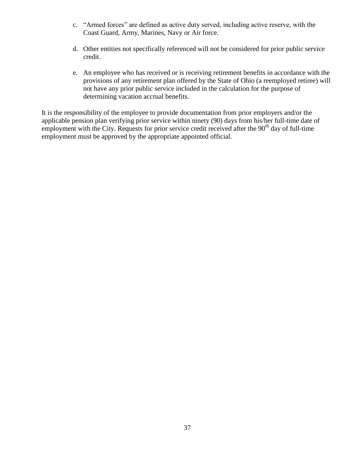- c. "Armed forces" are defined as active duty served, including active reserve, with the Coast Guard, Army, Marines, Navy or Air force.
- d. Other entities not specifically referenced will not be considered for prior public service credit.
- e. An employee who has received or is receiving retirement benefits in accordance with the provisions of any retirement plan offered by the State of Ohio (a reemployed retiree) will not have any prior public service included in the calculation for the purpose of determining vacation accrual benefits.

It is the responsibility of the employee to provide documentation from prior employers and/or the applicable pension plan verifying prior service within ninety (90) days from his/her full-time date of employment with the City. Requests for prior service credit received after the 90<sup>th</sup> day of full-time employment must be approved by the appropriate appointed official.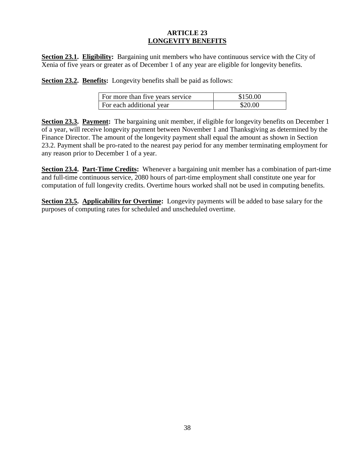#### **ARTICLE 23 LONGEVITY BENEFITS**

**Section 23.1. Eligibility:** Bargaining unit members who have continuous service with the City of Xenia of five years or greater as of December 1 of any year are eligible for longevity benefits.

**Section 23.2. Benefits:** Longevity benefits shall be paid as follows:

| For more than five years service | \$150.00 |
|----------------------------------|----------|
| For each additional year         | \$20.00  |

**Section 23.3. Payment:** The bargaining unit member, if eligible for longevity benefits on December 1 of a year, will receive longevity payment between November 1 and Thanksgiving as determined by the Finance Director. The amount of the longevity payment shall equal the amount as shown in Section 23.2. Payment shall be pro-rated to the nearest pay period for any member terminating employment for any reason prior to December 1 of a year.

**Section 23.4. Part-Time Credits:** Whenever a bargaining unit member has a combination of part-time and full-time continuous service, 2080 hours of part-time employment shall constitute one year for computation of full longevity credits. Overtime hours worked shall not be used in computing benefits.

**Section 23.5. Applicability for Overtime:** Longevity payments will be added to base salary for the purposes of computing rates for scheduled and unscheduled overtime.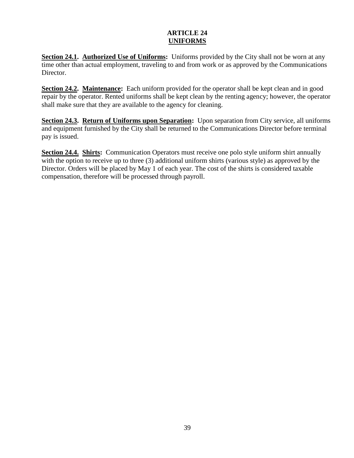#### **ARTICLE 24 UNIFORMS**

**Section 24.1. Authorized Use of Uniforms:** Uniforms provided by the City shall not be worn at any time other than actual employment, traveling to and from work or as approved by the Communications Director.

**Section 24.2. Maintenance:** Each uniform provided for the operator shall be kept clean and in good repair by the operator. Rented uniforms shall be kept clean by the renting agency; however, the operator shall make sure that they are available to the agency for cleaning.

**Section 24.3. Return of Uniforms upon Separation:** Upon separation from City service, all uniforms and equipment furnished by the City shall be returned to the Communications Director before terminal pay is issued.

**Section 24.4. Shirts:** Communication Operators must receive one polo style uniform shirt annually with the option to receive up to three (3) additional uniform shirts (various style) as approved by the Director. Orders will be placed by May 1 of each year. The cost of the shirts is considered taxable compensation, therefore will be processed through payroll.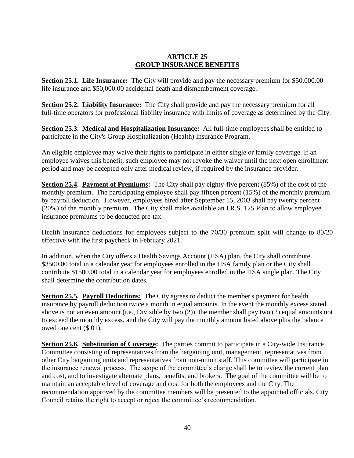#### **ARTICLE 25 GROUP INSURANCE BENEFITS**

**Section 25.1. Life Insurance:** The City will provide and pay the necessary premium for \$50,000.00 life insurance and \$50,000.00 accidental death and dismemberment coverage.

**Section 25.2. Liability Insurance:** The City shall provide and pay the necessary premium for all full-time operators for professional liability insurance with limits of coverage as determined by the City.

**Section 25.3. Medical and Hospitalization Insurance:** All full-time employees shall be entitled to participate in the City's Group Hospitalization (Health) Insurance Program.

An eligible employee may waive their rights to participate in either single or family coverage. If an employee waives this benefit, such employee may not revoke the waiver until the next open enrollment period and may be accepted only after medical review, if required by the insurance provider.

**Section 25.4. Payment of Premiums:** The City shall pay eighty-five percent (85%) of the cost of the monthly premium. The participating employee shall pay fifteen percent (15%) of the monthly premium by payroll deduction. However, employees hired after September 15, 2003 shall pay twenty percent (20%) of the monthly premium. The City shall make available an I.R.S. 125 Plan to allow employee insurance premiums to be deducted pre-tax.

Health insurance deductions for employees subject to the 70/30 premium split will change to 80/20 effective with the first paycheck in February 2021.

In addition, when the City offers a Health Savings Account (HSA) plan, the City shall contribute \$3500.00 total in a calendar year for employees enrolled in the HSA family plan or the City shall contribute \$1500.00 total in a calendar year for employees enrolled in the HSA single plan. The City shall determine the contribution dates.

**Section 25.5. Payroll Deductions:** The City agrees to deduct the member's payment for health insurance by payroll deduction twice a month in equal amounts. In the event the monthly excess stated above is not an even amount (i.e., Divisible by two (2)), the member shall pay two (2) equal amounts not to exceed the monthly excess, and the City will pay the monthly amount listed above plus the balance owed one cent (\$.01).

**Section 25.6. Substitution of Coverage:** The parties commit to participate in a City-wide Insurance Committee consisting of representatives from the bargaining unit, management, representatives from other City bargaining units and representatives from non-union staff. This committee will participate in the insurance renewal process. The scope of the committee's charge shall be to review the current plan and cost, and to investigate alternate plans, benefits, and brokers. The goal of the committee will be to maintain an acceptable level of coverage and cost for both the employees and the City. The recommendation approved by the committee members will be presented to the appointed officials. City Council retains the right to accept or reject the committee's recommendation.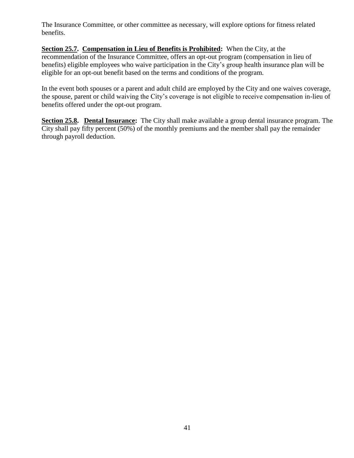The Insurance Committee, or other committee as necessary, will explore options for fitness related benefits.

**Section 25.7. Compensation in Lieu of Benefits is Prohibited:** When the City, at the recommendation of the Insurance Committee, offers an opt-out program (compensation in lieu of benefits) eligible employees who waive participation in the City's group health insurance plan will be eligible for an opt-out benefit based on the terms and conditions of the program.

In the event both spouses or a parent and adult child are employed by the City and one waives coverage, the spouse, parent or child waiving the City's coverage is not eligible to receive compensation in-lieu of benefits offered under the opt-out program.

**Section 25.8. Dental Insurance:** The City shall make available a group dental insurance program. The City shall pay fifty percent (50%) of the monthly premiums and the member shall pay the remainder through payroll deduction.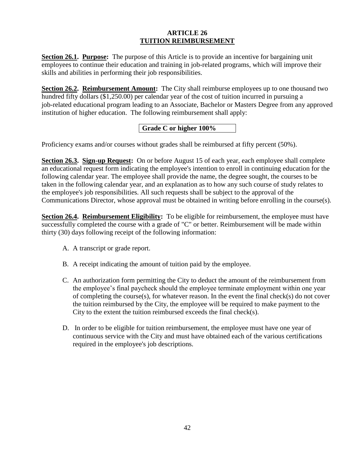#### **ARTICLE 26 TUITION REIMBURSEMENT**

**Section 26.1. Purpose:** The purpose of this Article is to provide an incentive for bargaining unit employees to continue their education and training in job-related programs, which will improve their skills and abilities in performing their job responsibilities.

**Section 26.2. Reimbursement Amount:** The City shall reimburse employees up to one thousand two hundred fifty dollars (\$1,250.00) per calendar year of the cost of tuition incurred in pursuing a job-related educational program leading to an Associate, Bachelor or Masters Degree from any approved institution of higher education. The following reimbursement shall apply:

#### **Grade C or higher 100%**

Proficiency exams and/or courses without grades shall be reimbursed at fifty percent (50%).

**Section 26.3. Sign-up Request:** On or before August 15 of each year, each employee shall complete an educational request form indicating the employee's intention to enroll in continuing education for the following calendar year. The employee shall provide the name, the degree sought, the courses to be taken in the following calendar year, and an explanation as to how any such course of study relates to the employee's job responsibilities. All such requests shall be subject to the approval of the Communications Director, whose approval must be obtained in writing before enrolling in the course(s).

**Section 26.4. Reimbursement Eligibility:** To be eligible for reimbursement, the employee must have successfully completed the course with a grade of "C" or better. Reimbursement will be made within thirty (30) days following receipt of the following information:

- A. A transcript or grade report.
- B. A receipt indicating the amount of tuition paid by the employee.
- C. An authorization form permitting the City to deduct the amount of the reimbursement from the employee's final paycheck should the employee terminate employment within one year of completing the course(s), for whatever reason. In the event the final check(s) do not cover the tuition reimbursed by the City, the employee will be required to make payment to the City to the extent the tuition reimbursed exceeds the final check(s).
- D. In order to be eligible for tuition reimbursement, the employee must have one year of continuous service with the City and must have obtained each of the various certifications required in the employee's job descriptions.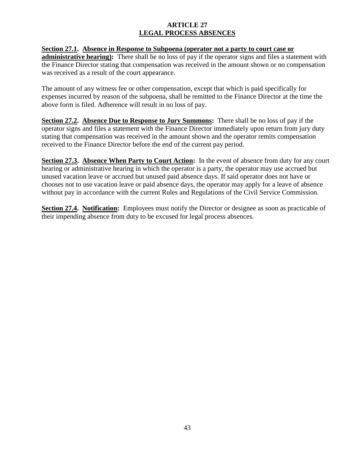#### **ARTICLE 27 LEGAL PROCESS ABSENCES**

#### **Section 27.1. Absence in Response to Subpoena (operator not a party to court case or**

**administrative hearing):** There shall be no loss of pay if the operator signs and files a statement with the Finance Director stating that compensation was received in the amount shown or no compensation was received as a result of the court appearance.

The amount of any witness fee or other compensation, except that which is paid specifically for expenses incurred by reason of the subpoena, shall be remitted to the Finance Director at the time the above form is filed. Adherence will result in no loss of pay.

**Section 27.2. Absence Due to Response to Jury Summons:** There shall be no loss of pay if the operator signs and files a statement with the Finance Director immediately upon return from jury duty stating that compensation was received in the amount shown and the operator remits compensation received to the Finance Director before the end of the current pay period.

**Section 27.3. Absence When Party to Court Action:** In the event of absence from duty for any court hearing or administrative hearing in which the operator is a party, the operator may use accrued but unused vacation leave or accrued but unused paid absence days. If said operator does not have or chooses not to use vacation leave or paid absence days, the operator may apply for a leave of absence without pay in accordance with the current Rules and Regulations of the Civil Service Commission.

**Section 27.4. Notification:** Employees must notify the Director or designee as soon as practicable of their impending absence from duty to be excused for legal process absences.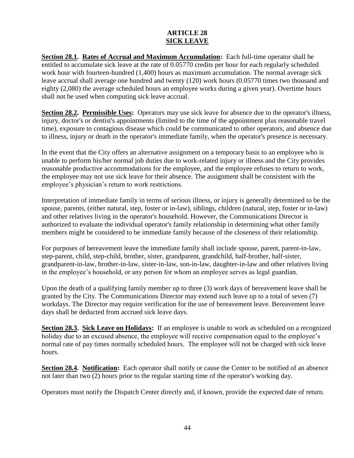#### **ARTICLE 28 SICK LEAVE**

**Section 28.1. Rates of Accrual and Maximum Accumulation:** Each full-time operator shall be entitled to accumulate sick leave at the rate of 0.05770 credits per hour for each regularly scheduled work hour with fourteen-hundred (1,400) hours as maximum accumulation. The normal average sick leave accrual shall average one hundred and twenty (120) work hours (0.05770 times two thousand and eighty (2,080) the average scheduled hours an employee works during a given year). Overtime hours shall not be used when computing sick leave accrual.

**Section 28.2. Permissible Uses:** Operators may use sick leave for absence due to the operator's illness, injury, doctor's or dentist's appointments (limited to the time of the appointment plus reasonable travel time), exposure to contagious disease which could be communicated to other operators, and absence due to illness, injury or death in the operator's immediate family, when the operator's presence is necessary.

In the event that the City offers an alternative assignment on a temporary basis to an employee who is unable to perform his/her normal job duties due to work-related injury or illness and the City provides reasonable productive accommodations for the employee, and the employee refuses to return to work, the employee may not use sick leave for their absence. The assignment shall be consistent with the employee's physician's return to work restrictions.

Interpretation of immediate family in terms of serious illness, or injury is generally determined to be the spouse, parents, (either natural, step, foster or in-law), siblings, children (natural, step, foster or in-law) and other relatives living in the operator's household. However, the Communications Director is authorized to evaluate the individual operator's family relationship in determining what other family members might be considered to be immediate family because of the closeness of their relationship.

For purposes of bereavement leave the immediate family shall include spouse, parent, parent-in-law, step-parent, child, step-child, brother, sister, grandparent, grandchild, half-brother, half-sister, grandparent-in-law, brother-in-law, sister-in-law, son-in-law, daughter-in-law and other relatives living in the employee's household, or any person for whom an employee serves as legal guardian.

Upon the death of a qualifying family member up to three (3) work days of bereavement leave shall be granted by the City. The Communications Director may extend such leave up to a total of seven (7) workdays. The Director may require verification for the use of bereavement leave. Bereavement leave days shall be deducted from accrued sick leave days.

**Section 28.3. Sick Leave on Holidays:** If an employee is unable to work as scheduled on a recognized holiday due to an excused absence, the employee will receive compensation equal to the employee's normal rate of pay times normally scheduled hours. The employee will not be charged with sick leave hours.

**Section 28.4. Notification:** Each operator shall notify or cause the Center to be notified of an absence not later than two (2) hours prior to the regular starting time of the operator's working day.

Operators must notify the Dispatch Center directly and, if known, provide the expected date of return.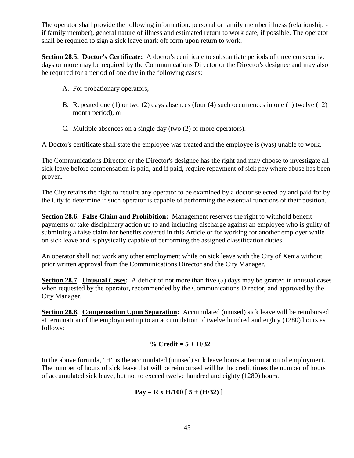The operator shall provide the following information: personal or family member illness (relationship if family member), general nature of illness and estimated return to work date, if possible. The operator shall be required to sign a sick leave mark off form upon return to work.

**Section 28.5. Doctor's Certificate:** A doctor's certificate to substantiate periods of three consecutive days or more may be required by the Communications Director or the Director's designee and may also be required for a period of one day in the following cases:

- A. For probationary operators,
- B. Repeated one (1) or two (2) days absences (four (4) such occurrences in one (1) twelve (12) month period), or
- C. Multiple absences on a single day (two (2) or more operators).

A Doctor's certificate shall state the employee was treated and the employee is (was) unable to work.

The Communications Director or the Director's designee has the right and may choose to investigate all sick leave before compensation is paid, and if paid, require repayment of sick pay where abuse has been proven.

The City retains the right to require any operator to be examined by a doctor selected by and paid for by the City to determine if such operator is capable of performing the essential functions of their position.

**Section 28.6. False Claim and Prohibition:** Management reserves the right to withhold benefit payments or take disciplinary action up to and including discharge against an employee who is guilty of submitting a false claim for benefits covered in this Article or for working for another employer while on sick leave and is physically capable of performing the assigned classification duties.

An operator shall not work any other employment while on sick leave with the City of Xenia without prior written approval from the Communications Director and the City Manager.

**Section 28.7. Unusual Cases:** A deficit of not more than five (5) days may be granted in unusual cases when requested by the operator, recommended by the Communications Director, and approved by the City Manager.

**Section 28.8. Compensation Upon Separation:** Accumulated (unused) sick leave will be reimbursed at termination of the employment up to an accumulation of twelve hundred and eighty (1280) hours as follows:

#### **% Credit = 5 + H/32**

In the above formula, "H" is the accumulated (unused) sick leave hours at termination of employment. The number of hours of sick leave that will be reimbursed will be the credit times the number of hours of accumulated sick leave, but not to exceed twelve hundred and eighty (1280) hours.

#### $\text{Pay} = \text{R} \times \text{H}/100$  [ 5 + (H/32) ]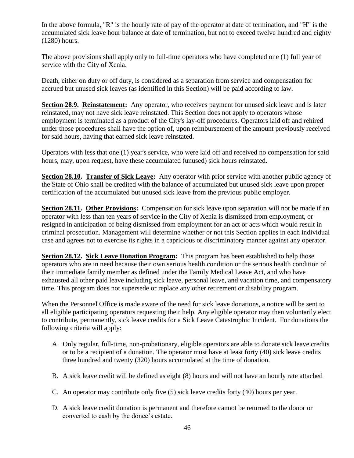In the above formula, "R" is the hourly rate of pay of the operator at date of termination, and "H" is the accumulated sick leave hour balance at date of termination, but not to exceed twelve hundred and eighty (1280) hours.

The above provisions shall apply only to full-time operators who have completed one (1) full year of service with the City of Xenia.

Death, either on duty or off duty, is considered as a separation from service and compensation for accrued but unused sick leaves (as identified in this Section) will be paid according to law.

**Section 28.9. Reinstatement:** Any operator, who receives payment for unused sick leave and is later reinstated, may not have sick leave reinstated. This Section does not apply to operators whose employment is terminated as a product of the City's lay-off procedures. Operators laid off and rehired under those procedures shall have the option of, upon reimbursement of the amount previously received for said hours, having that earned sick leave reinstated.

Operators with less that one (1) year's service, who were laid off and received no compensation for said hours, may, upon request, have these accumulated (unused) sick hours reinstated.

**Section 28.10. Transfer of Sick Leave:** Any operator with prior service with another public agency of the State of Ohio shall be credited with the balance of accumulated but unused sick leave upon proper certification of the accumulated but unused sick leave from the previous public employer.

**Section 28.11. Other Provisions:** Compensation for sick leave upon separation will not be made if an operator with less than ten years of service in the City of Xenia is dismissed from employment, or resigned in anticipation of being dismissed from employment for an act or acts which would result in criminal prosecution. Management will determine whether or not this Section applies in each individual case and agrees not to exercise its rights in a capricious or discriminatory manner against any operator.

**Section 28.12. Sick Leave Donation Program:** This program has been established to help those operators who are in need because their own serious health condition or the serious health condition of their immediate family member as defined under the Family Medical Leave Act, and who have exhausted all other paid leave including sick leave, personal leave, and vacation time, and compensatory time. This program does not supersede or replace any other retirement or disability program.

When the Personnel Office is made aware of the need for sick leave donations, a notice will be sent to all eligible participating operators requesting their help. Any eligible operator may then voluntarily elect to contribute, permanently, sick leave credits for a Sick Leave Catastrophic Incident. For donations the following criteria will apply:

- A. Only regular, full-time, non-probationary, eligible operators are able to donate sick leave credits or to be a recipient of a donation. The operator must have at least forty (40) sick leave credits three hundred and twenty (320) hours accumulated at the time of donation.
- B. A sick leave credit will be defined as eight (8) hours and will not have an hourly rate attached
- C. An operator may contribute only five (5) sick leave credits forty (40) hours per year.
- D. A sick leave credit donation is permanent and therefore cannot be returned to the donor or converted to cash by the donee's estate.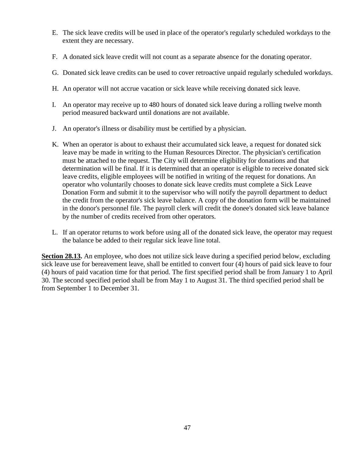- E. The sick leave credits will be used in place of the operator's regularly scheduled workdays to the extent they are necessary.
- F. A donated sick leave credit will not count as a separate absence for the donating operator.
- G. Donated sick leave credits can be used to cover retroactive unpaid regularly scheduled workdays.
- H. An operator will not accrue vacation or sick leave while receiving donated sick leave.
- I. An operator may receive up to 480 hours of donated sick leave during a rolling twelve month period measured backward until donations are not available.
- J. An operator's illness or disability must be certified by a physician.
- K. When an operator is about to exhaust their accumulated sick leave, a request for donated sick leave may be made in writing to the Human Resources Director. The physician's certification must be attached to the request. The City will determine eligibility for donations and that determination will be final. If it is determined that an operator is eligible to receive donated sick leave credits, eligible employees will be notified in writing of the request for donations. An operator who voluntarily chooses to donate sick leave credits must complete a Sick Leave Donation Form and submit it to the supervisor who will notify the payroll department to deduct the credit from the operator's sick leave balance. A copy of the donation form will be maintained in the donor's personnel file. The payroll clerk will credit the donee's donated sick leave balance by the number of credits received from other operators.
- L. If an operator returns to work before using all of the donated sick leave, the operator may request the balance be added to their regular sick leave line total.

**Section 28.13.** An employee, who does not utilize sick leave during a specified period below, excluding sick leave use for bereavement leave, shall be entitled to convert four (4) hours of paid sick leave to four (4) hours of paid vacation time for that period. The first specified period shall be from January 1 to April 30. The second specified period shall be from May 1 to August 31. The third specified period shall be from September 1 to December 31.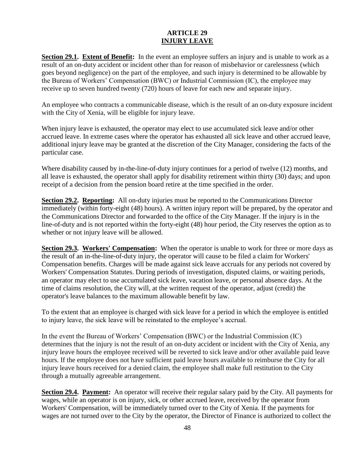#### **ARTICLE 29 INJURY LEAVE**

**Section 29.1. Extent of Benefit:** In the event an employee suffers an injury and is unable to work as a result of an on-duty accident or incident other than for reason of misbehavior or carelessness (which goes beyond negligence) on the part of the employee, and such injury is determined to be allowable by the Bureau of Workers' Compensation (BWC) or Industrial Commission (IC), the employee may receive up to seven hundred twenty (720) hours of leave for each new and separate injury.

An employee who contracts a communicable disease, which is the result of an on-duty exposure incident with the City of Xenia, will be eligible for injury leave.

When injury leave is exhausted, the operator may elect to use accumulated sick leave and/or other accrued leave. In extreme cases where the operator has exhausted all sick leave and other accrued leave, additional injury leave may be granted at the discretion of the City Manager, considering the facts of the particular case.

Where disability caused by in-the-line-of-duty injury continues for a period of twelve (12) months, and all leave is exhausted, the operator shall apply for disability retirement within thirty (30) days; and upon receipt of a decision from the pension board retire at the time specified in the order.

**Section 29.2. Reporting:** All on-duty injuries must be reported to the Communications Director immediately (within forty-eight (48) hours). A written injury report will be prepared, by the operator and the Communications Director and forwarded to the office of the City Manager. If the injury is in the line-of-duty and is not reported within the forty-eight (48) hour period, the City reserves the option as to whether or not injury leave will be allowed.

**Section 29.3. Workers' Compensation:** When the operator is unable to work for three or more days as the result of an in-the-line-of-duty injury, the operator will cause to be filed a claim for Workers' Compensation benefits. Charges will be made against sick leave accruals for any periods not covered by Workers' Compensation Statutes. During periods of investigation, disputed claims, or waiting periods, an operator may elect to use accumulated sick leave, vacation leave, or personal absence days. At the time of claims resolution, the City will, at the written request of the operator, adjust (credit) the operator's leave balances to the maximum allowable benefit by law.

To the extent that an employee is charged with sick leave for a period in which the employee is entitled to injury leave, the sick leave will be reinstated to the employee's accrual.

In the event the Bureau of Workers' Compensation (BWC) or the Industrial Commission (IC) determines that the injury is not the result of an on-duty accident or incident with the City of Xenia, any injury leave hours the employee received will be reverted to sick leave and/or other available paid leave hours. If the employee does not have sufficient paid leave hours available to reimburse the City for all injury leave hours received for a denied claim, the employee shall make full restitution to the City through a mutually agreeable arrangement.

**Section 29.4. Payment:** An operator will receive their regular salary paid by the City. All payments for wages, while an operator is on injury, sick, or other accrued leave, received by the operator from Workers' Compensation, will be immediately turned over to the City of Xenia. If the payments for wages are not turned over to the City by the operator, the Director of Finance is authorized to collect the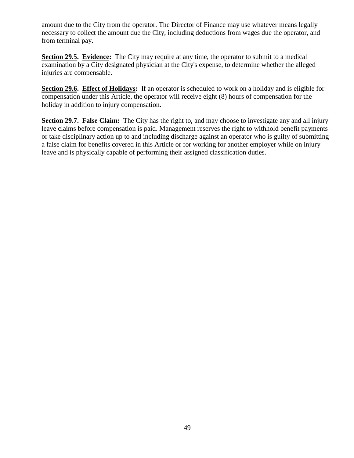amount due to the City from the operator. The Director of Finance may use whatever means legally necessary to collect the amount due the City, including deductions from wages due the operator, and from terminal pay.

**Section 29.5. Evidence:** The City may require at any time, the operator to submit to a medical examination by a City designated physician at the City's expense, to determine whether the alleged injuries are compensable.

**Section 29.6. Effect of Holidays:** If an operator is scheduled to work on a holiday and is eligible for compensation under this Article, the operator will receive eight (8) hours of compensation for the holiday in addition to injury compensation.

**Section 29.7. False Claim:** The City has the right to, and may choose to investigate any and all injury leave claims before compensation is paid. Management reserves the right to withhold benefit payments or take disciplinary action up to and including discharge against an operator who is guilty of submitting a false claim for benefits covered in this Article or for working for another employer while on injury leave and is physically capable of performing their assigned classification duties.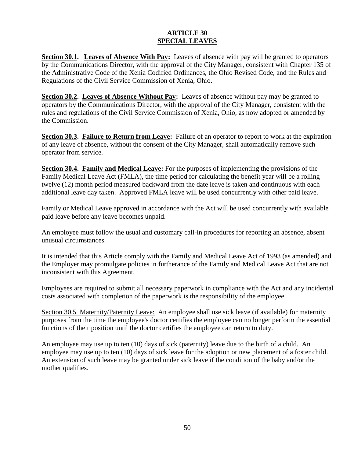#### **ARTICLE 30 SPECIAL LEAVES**

**Section 30.1. Leaves of Absence With Pay:** Leaves of absence with pay will be granted to operators by the Communications Director, with the approval of the City Manager, consistent with Chapter 135 of the Administrative Code of the Xenia Codified Ordinances, the Ohio Revised Code, and the Rules and Regulations of the Civil Service Commission of Xenia, Ohio.

**Section 30.2. Leaves of Absence Without Pay:** Leaves of absence without pay may be granted to operators by the Communications Director, with the approval of the City Manager, consistent with the rules and regulations of the Civil Service Commission of Xenia, Ohio, as now adopted or amended by the Commission.

**Section 30.3. Failure to Return from Leave:** Failure of an operator to report to work at the expiration of any leave of absence, without the consent of the City Manager, shall automatically remove such operator from service.

**Section 30.4. Family and Medical Leave:** For the purposes of implementing the provisions of the Family Medical Leave Act (FMLA), the time period for calculating the benefit year will be a rolling twelve (12) month period measured backward from the date leave is taken and continuous with each additional leave day taken. Approved FMLA leave will be used concurrently with other paid leave.

Family or Medical Leave approved in accordance with the Act will be used concurrently with available paid leave before any leave becomes unpaid.

An employee must follow the usual and customary call-in procedures for reporting an absence, absent unusual circumstances.

It is intended that this Article comply with the Family and Medical Leave Act of 1993 (as amended) and the Employer may promulgate policies in furtherance of the Family and Medical Leave Act that are not inconsistent with this Agreement.

Employees are required to submit all necessary paperwork in compliance with the Act and any incidental costs associated with completion of the paperwork is the responsibility of the employee.

Section 30.5 Maternity/Paternity Leave: An employee shall use sick leave (if available) for maternity purposes from the time the employee's doctor certifies the employee can no longer perform the essential functions of their position until the doctor certifies the employee can return to duty.

An employee may use up to ten (10) days of sick (paternity) leave due to the birth of a child. An employee may use up to ten (10) days of sick leave for the adoption or new placement of a foster child. An extension of such leave may be granted under sick leave if the condition of the baby and/or the mother qualifies.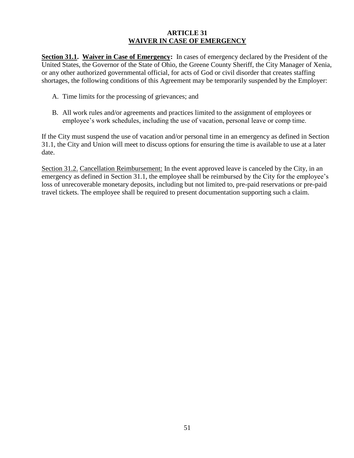#### **ARTICLE 31 WAIVER IN CASE OF EMERGENCY**

**Section 31.1. Waiver in Case of Emergency:** In cases of emergency declared by the President of the United States, the Governor of the State of Ohio, the Greene County Sheriff, the City Manager of Xenia, or any other authorized governmental official, for acts of God or civil disorder that creates staffing shortages, the following conditions of this Agreement may be temporarily suspended by the Employer:

- A. Time limits for the processing of grievances; and
- B. All work rules and/or agreements and practices limited to the assignment of employees or employee's work schedules, including the use of vacation, personal leave or comp time.

If the City must suspend the use of vacation and/or personal time in an emergency as defined in Section 31.1, the City and Union will meet to discuss options for ensuring the time is available to use at a later date.

Section 31.2. Cancellation Reimbursement: In the event approved leave is canceled by the City, in an emergency as defined in Section 31.1, the employee shall be reimbursed by the City for the employee's loss of unrecoverable monetary deposits, including but not limited to, pre-paid reservations or pre-paid travel tickets. The employee shall be required to present documentation supporting such a claim.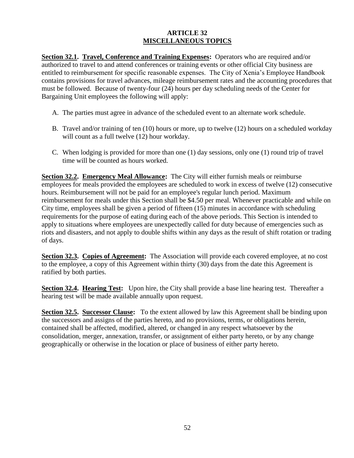#### **ARTICLE 32 MISCELLANEOUS TOPICS**

**Section 32.1. Travel, Conference and Training Expenses:** Operators who are required and/or authorized to travel to and attend conferences or training events or other official City business are entitled to reimbursement for specific reasonable expenses. The City of Xenia's Employee Handbook contains provisions for travel advances, mileage reimbursement rates and the accounting procedures that must be followed. Because of twenty-four (24) hours per day scheduling needs of the Center for Bargaining Unit employees the following will apply:

- A. The parties must agree in advance of the scheduled event to an alternate work schedule.
- B. Travel and/or training of ten (10) hours or more, up to twelve (12) hours on a scheduled workday will count as a full twelve (12) hour workday.
- C. When lodging is provided for more than one (1) day sessions, only one (1) round trip of travel time will be counted as hours worked.

**Section 32.2. Emergency Meal Allowance:** The City will either furnish meals or reimburse employees for meals provided the employees are scheduled to work in excess of twelve (12) consecutive hours. Reimbursement will not be paid for an employee's regular lunch period. Maximum reimbursement for meals under this Section shall be \$4.50 per meal. Whenever practicable and while on City time, employees shall be given a period of fifteen (15) minutes in accordance with scheduling requirements for the purpose of eating during each of the above periods. This Section is intended to apply to situations where employees are unexpectedly called for duty because of emergencies such as riots and disasters, and not apply to double shifts within any days as the result of shift rotation or trading of days.

**Section 32.3. Copies of Agreement:** The Association will provide each covered employee, at no cost to the employee, a copy of this Agreement within thirty (30) days from the date this Agreement is ratified by both parties.

**Section 32.4. Hearing Test:** Upon hire, the City shall provide a base line hearing test. Thereafter a hearing test will be made available annually upon request.

**Section 32.5. Successor Clause:** To the extent allowed by law this Agreement shall be binding upon the successors and assigns of the parties hereto, and no provisions, terms, or obligations herein, contained shall be affected, modified, altered, or changed in any respect whatsoever by the consolidation, merger, annexation, transfer, or assignment of either party hereto, or by any change geographically or otherwise in the location or place of business of either party hereto.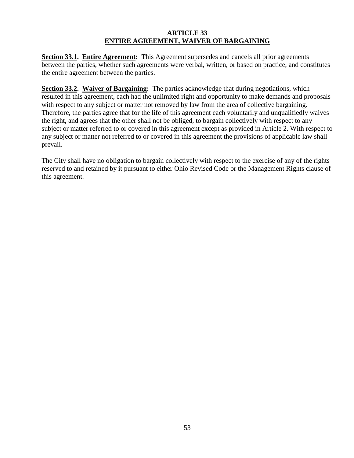#### **ARTICLE 33 ENTIRE AGREEMENT, WAIVER OF BARGAINING**

**Section 33.1. Entire Agreement:** This Agreement supersedes and cancels all prior agreements between the parties, whether such agreements were verbal, written, or based on practice, and constitutes the entire agreement between the parties.

**Section 33.2. Waiver of Bargaining:** The parties acknowledge that during negotiations, which resulted in this agreement, each had the unlimited right and opportunity to make demands and proposals with respect to any subject or matter not removed by law from the area of collective bargaining. Therefore, the parties agree that for the life of this agreement each voluntarily and unqualifiedly waives the right, and agrees that the other shall not be obliged, to bargain collectively with respect to any subject or matter referred to or covered in this agreement except as provided in Article 2. With respect to any subject or matter not referred to or covered in this agreement the provisions of applicable law shall prevail.

The City shall have no obligation to bargain collectively with respect to the exercise of any of the rights reserved to and retained by it pursuant to either Ohio Revised Code or the Management Rights clause of this agreement.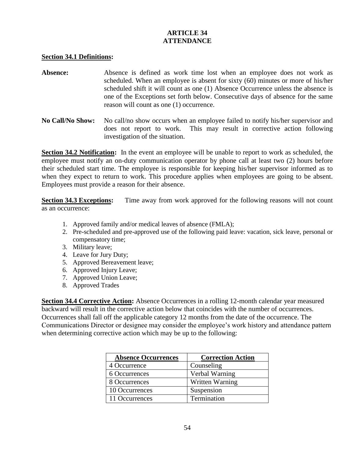#### **ARTICLE 34 ATTENDANCE**

#### **Section 34.1 Definitions:**

- Absence: Absence is defined as work time lost when an employee does not work as scheduled. When an employee is absent for sixty (60) minutes or more of his/her scheduled shift it will count as one (1) Absence Occurrence unless the absence is one of the Exceptions set forth below. Consecutive days of absence for the same reason will count as one (1) occurrence.
- **No Call/No Show:** No call/no show occurs when an employee failed to notify his/her supervisor and does not report to work. This may result in corrective action following investigation of the situation.

**Section 34.2 Notification:** In the event an employee will be unable to report to work as scheduled, the employee must notify an on-duty communication operator by phone call at least two (2) hours before their scheduled start time. The employee is responsible for keeping his/her supervisor informed as to when they expect to return to work. This procedure applies when employees are going to be absent. Employees must provide a reason for their absence.

**Section 34.3 Exceptions:** Time away from work approved for the following reasons will not count as an occurrence:

- 1. Approved family and/or medical leaves of absence (FMLA);
- 2. Pre-scheduled and pre-approved use of the following paid leave: vacation, sick leave, personal or compensatory time;
- 3. Military leave;
- 4. Leave for Jury Duty;
- 5. Approved Bereavement leave;
- 6. Approved Injury Leave;
- 7. Approved Union Leave;
- 8. Approved Trades

**Section 34.4 Corrective Action:** Absence Occurrences in a rolling 12-month calendar year measured backward will result in the corrective action below that coincides with the number of occurrences. Occurrences shall fall off the applicable category 12 months from the date of the occurrence. The Communications Director or designee may consider the employee's work history and attendance pattern when determining corrective action which may be up to the following:

| <b>Absence Occurrences</b> | <b>Correction Action</b> |
|----------------------------|--------------------------|
| 4 Occurrence               | Counseling               |
| 6 Occurrences              | Verbal Warning           |
| 8 Occurrences              | Written Warning          |
| 10 Occurrences             | Suspension               |
| 11 Occurrences             | Termination              |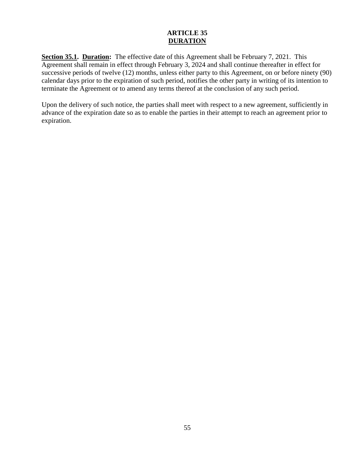#### **ARTICLE 35 DURATION**

**Section 35.1. Duration:** The effective date of this Agreement shall be February 7, 2021. This Agreement shall remain in effect through February 3, 2024 and shall continue thereafter in effect for successive periods of twelve (12) months, unless either party to this Agreement, on or before ninety (90) calendar days prior to the expiration of such period, notifies the other party in writing of its intention to terminate the Agreement or to amend any terms thereof at the conclusion of any such period.

Upon the delivery of such notice, the parties shall meet with respect to a new agreement, sufficiently in advance of the expiration date so as to enable the parties in their attempt to reach an agreement prior to expiration.